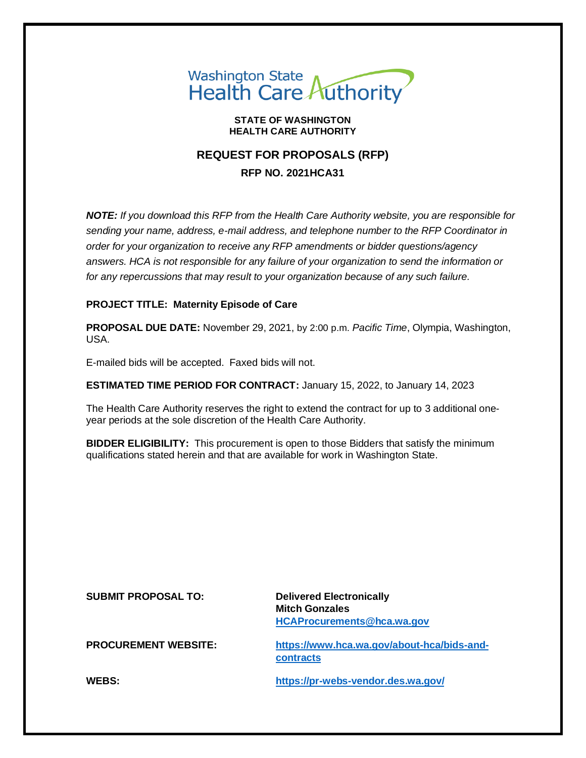

#### **STATE OF WASHINGTON HEALTH CARE AUTHORITY**

# **REQUEST FOR PROPOSALS (RFP) RFP NO. 2021HCA31**

*NOTE: If you download this RFP from the Health Care Authority website, you are responsible for sending your name, address, e-mail address, and telephone number to the RFP Coordinator in order for your organization to receive any RFP amendments or bidder questions/agency answers. HCA is not responsible for any failure of your organization to send the information or for any repercussions that may result to your organization because of any such failure.*

## **PROJECT TITLE: Maternity Episode of Care**

**PROPOSAL DUE DATE:** November 29, 2021, by 2:00 p.m. *Pacific Time*, Olympia, Washington, USA.

E-mailed bids will be accepted. Faxed bids will not.

**ESTIMATED TIME PERIOD FOR CONTRACT:** January 15, 2022, to January 14, 2023

The Health Care Authority reserves the right to extend the contract for up to 3 additional oneyear periods at the sole discretion of the Health Care Authority.

**BIDDER ELIGIBILITY:** This procurement is open to those Bidders that satisfy the minimum qualifications stated herein and that are available for work in Washington State.

| <b>SUBMIT PROPOSAL TO:</b>  | <b>Delivered Electronically</b><br><b>Mitch Gonzales</b><br><b>HCAProcurements@hca.wa.gov</b> |
|-----------------------------|-----------------------------------------------------------------------------------------------|
| <b>PROCUREMENT WEBSITE:</b> | https://www.hca.wa.gov/about-hca/bids-and-<br>contracts                                       |
| WEBS:                       | https://pr-webs-vendor.des.wa.gov/                                                            |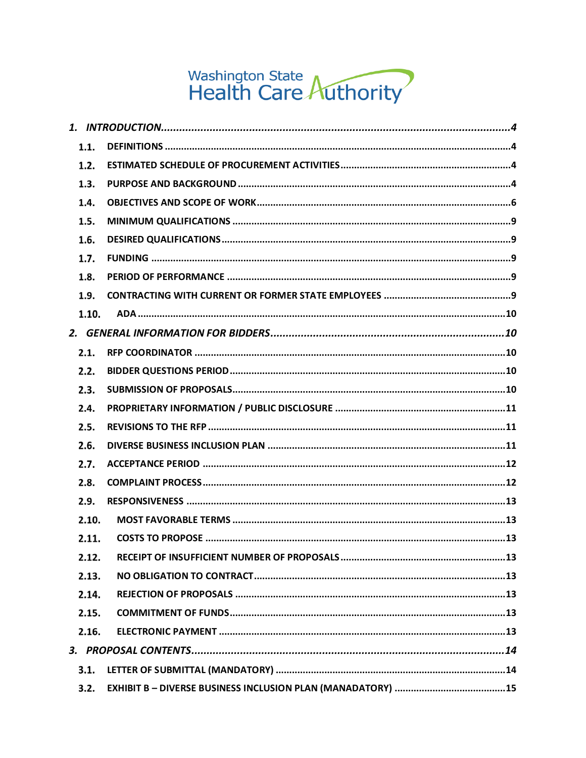# Washington State<br>Health Care Authority

| 1.1.  |  |
|-------|--|
| 1.2.  |  |
| 1.3.  |  |
| 1.4.  |  |
| 1.5.  |  |
| 1.6.  |  |
| 1.7.  |  |
| 1.8.  |  |
| 1.9.  |  |
| 1.10. |  |
|       |  |
| 2.1.  |  |
| 2.2.  |  |
| 2.3.  |  |
| 2.4.  |  |
| 2.5.  |  |
| 2.6.  |  |
| 2.7.  |  |
| 2.8.  |  |
| 2.9.  |  |
| 2.10. |  |
| 2.11. |  |
| 2.12. |  |
| 2.13. |  |
| 2.14. |  |
| 2.15. |  |
| 2.16. |  |
|       |  |
| 3.1.  |  |
| 3.2.  |  |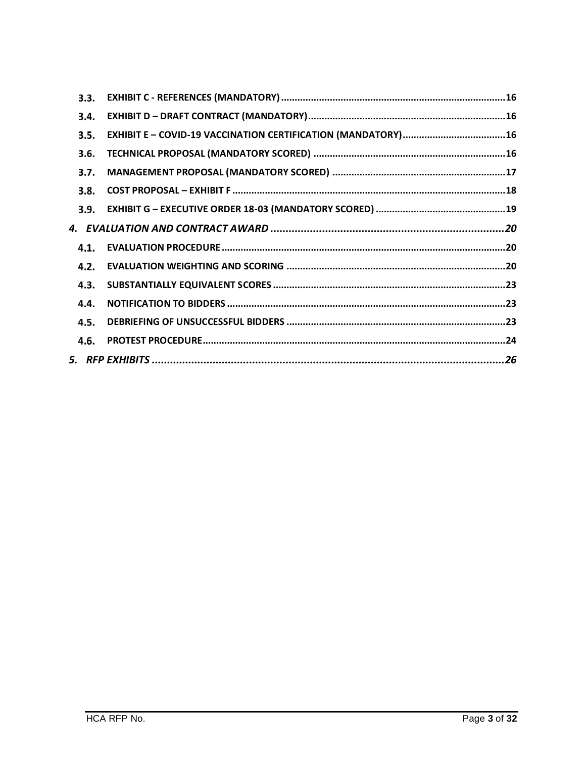| 3.3. |  |
|------|--|
| 3.4. |  |
| 3.5. |  |
| 3.6. |  |
| 3.7. |  |
| 3.8. |  |
| 3.9. |  |
|      |  |
| 4.1. |  |
| 4.2. |  |
| 4.3. |  |
| 4.4. |  |
| 4.5. |  |
| 4.6. |  |
|      |  |
|      |  |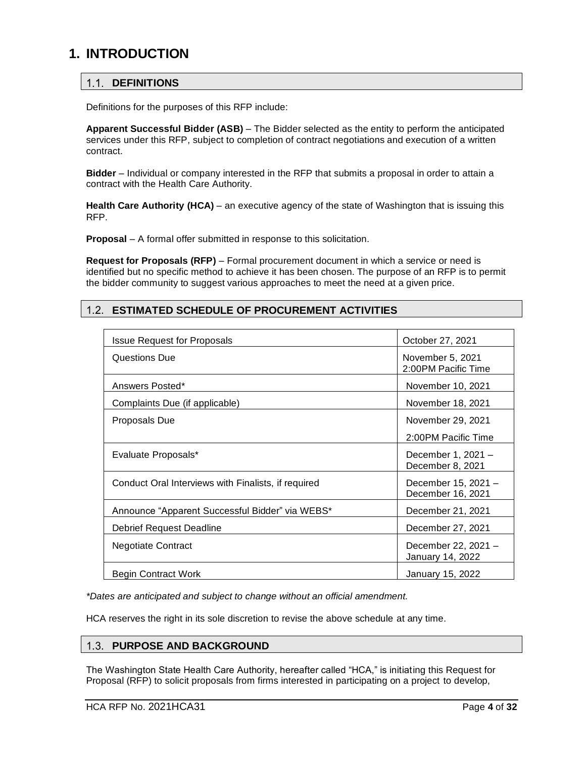## <span id="page-3-1"></span><span id="page-3-0"></span>**1. INTRODUCTION**

#### $1.1.$ **DEFINITIONS**

Definitions for the purposes of this RFP include:

**Apparent Successful Bidder (ASB)** – The Bidder selected as the entity to perform the anticipated services under this RFP, subject to completion of contract negotiations and execution of a written contract.

**Bidder** – Individual or company interested in the RFP that submits a proposal in order to attain a contract with the Health Care Authority.

**Health Care Authority (HCA)** – an executive agency of the state of Washington that is issuing this RFP.

**Proposal** – A formal offer submitted in response to this solicitation.

**Request for Proposals (RFP)** – Formal procurement document in which a service or need is identified but no specific method to achieve it has been chosen. The purpose of an RFP is to permit the bidder community to suggest various approaches to meet the need at a given price.

#### <span id="page-3-2"></span> $1.2.$ **ESTIMATED SCHEDULE OF PROCUREMENT ACTIVITIES**

| <b>Issue Request for Proposals</b>                  | October 27, 2021                         |
|-----------------------------------------------------|------------------------------------------|
| Questions Due                                       | November 5, 2021<br>2:00PM Pacific Time  |
| Answers Posted*                                     | November 10, 2021                        |
| Complaints Due (if applicable)                      | November 18, 2021                        |
| Proposals Due                                       | November 29, 2021                        |
|                                                     | 2:00PM Pacific Time                      |
| Evaluate Proposals*                                 | December 1, 2021 -<br>December 8, 2021   |
| Conduct Oral Interviews with Finalists, if required | December 15, 2021 -<br>December 16, 2021 |
| Announce "Apparent Successful Bidder" via WEBS*     | December 21, 2021                        |
| Debrief Request Deadline                            | December 27, 2021                        |
| Negotiate Contract                                  | December 22, 2021 -<br>January 14, 2022  |
| Begin Contract Work                                 | January 15, 2022                         |

*\*Dates are anticipated and subject to change without an official amendment.*

<span id="page-3-3"></span>HCA reserves the right in its sole discretion to revise the above schedule at any time.

#### $1.3.$ **PURPOSE AND BACKGROUND**

The Washington State Health Care Authority, hereafter called "HCA," is initiating this Request for Proposal (RFP) to solicit proposals from firms interested in participating on a project to develop,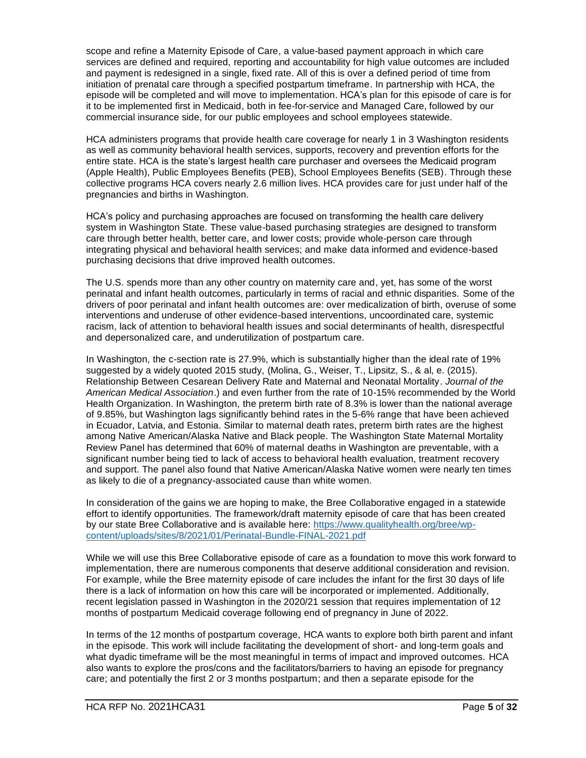scope and refine a Maternity Episode of Care, a value-based payment approach in which care services are defined and required, reporting and accountability for high value outcomes are included and payment is redesigned in a single, fixed rate. All of this is over a defined period of time from initiation of prenatal care through a specified postpartum timeframe. In partnership with HCA, the episode will be completed and will move to implementation. HCA's plan for this episode of care is for it to be implemented first in Medicaid, both in fee-for-service and Managed Care, followed by our commercial insurance side, for our public employees and school employees statewide.

HCA administers programs that provide health care coverage for nearly 1 in 3 Washington residents as well as community behavioral health services, supports, recovery and prevention efforts for the entire state. HCA is the state's largest health care purchaser and oversees the Medicaid program (Apple Health), Public Employees Benefits (PEB), School Employees Benefits (SEB). Through these collective programs HCA covers nearly 2.6 million lives. HCA provides care for just under half of the pregnancies and births in Washington.

HCA's policy and purchasing approaches are focused on transforming the health care delivery system in Washington State. These value-based purchasing strategies are designed to transform care through better health, better care, and lower costs; provide whole-person care through integrating physical and behavioral health services; and make data informed and evidence-based purchasing decisions that drive improved health outcomes.

The U.S. spends more than any other country on maternity care and, yet, has some of the worst perinatal and infant health outcomes, particularly in terms of racial and ethnic disparities. Some of the drivers of poor perinatal and infant health outcomes are: over medicalization of birth, overuse of some interventions and underuse of other evidence-based interventions, uncoordinated care, systemic racism, lack of attention to behavioral health issues and social determinants of health, disrespectful and depersonalized care, and underutilization of postpartum care.

In Washington, the c-section rate is 27.9%, which is substantially higher than the ideal rate of 19% suggested by a widely quoted 2015 study, (Molina, G., Weiser, T., Lipsitz, S., & al, e. (2015). Relationship Between Cesarean Delivery Rate and Maternal and Neonatal Mortality. *Journal of the American Medical Association*.) and even further from the rate of 10-15% recommended by the World Health Organization. In Washington, the preterm birth rate of 8.3% is lower than the national average of 9.85%, but Washington lags significantly behind rates in the 5-6% range that have been achieved in Ecuador, Latvia, and Estonia. Similar to maternal death rates, preterm birth rates are the highest among Native American/Alaska Native and Black people. The Washington State Maternal Mortality Review Panel has determined that 60% of maternal deaths in Washington are preventable, with a significant number being tied to lack of access to behavioral health evaluation, treatment recovery and support. The panel also found that Native American/Alaska Native women were nearly ten times as likely to die of a pregnancy-associated cause than white women.

In consideration of the gains we are hoping to make, the Bree Collaborative engaged in a statewide effort to identify opportunities. The framework/draft maternity episode of care that has been created by our state Bree Collaborative and is available here: [https://www.qualityhealth.org/bree/wp](https://www.qualityhealth.org/bree/wp-content/uploads/sites/8/2021/01/Perinatal-Bundle-FINAL-2021.pdf)[content/uploads/sites/8/2021/01/Perinatal-Bundle-FINAL-2021.pdf](https://www.qualityhealth.org/bree/wp-content/uploads/sites/8/2021/01/Perinatal-Bundle-FINAL-2021.pdf)

While we will use this Bree Collaborative episode of care as a foundation to move this work forward to implementation, there are numerous components that deserve additional consideration and revision. For example, while the Bree maternity episode of care includes the infant for the first 30 days of life there is a lack of information on how this care will be incorporated or implemented. Additionally, recent legislation passed in Washington in the 2020/21 session that requires implementation of 12 months of postpartum Medicaid coverage following end of pregnancy in June of 2022.

In terms of the 12 months of postpartum coverage, HCA wants to explore both birth parent and infant in the episode. This work will include facilitating the development of short- and long-term goals and what dyadic timeframe will be the most meaningful in terms of impact and improved outcomes. HCA also wants to explore the pros/cons and the facilitators/barriers to having an episode for pregnancy care; and potentially the first 2 or 3 months postpartum; and then a separate episode for the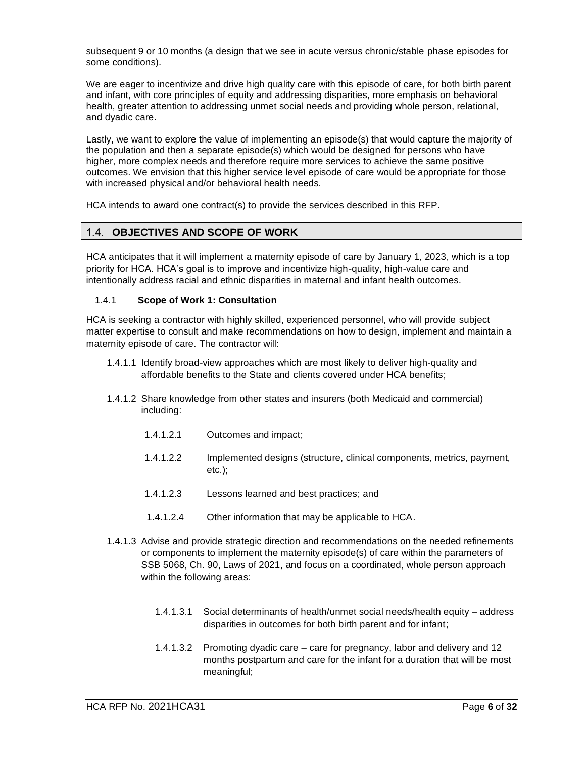subsequent 9 or 10 months (a design that we see in acute versus chronic/stable phase episodes for some conditions).

We are eager to incentivize and drive high quality care with this episode of care, for both birth parent and infant, with core principles of equity and addressing disparities, more emphasis on behavioral health, greater attention to addressing unmet social needs and providing whole person, relational, and dyadic care.

Lastly, we want to explore the value of implementing an episode(s) that would capture the majority of the population and then a separate episode(s) which would be designed for persons who have higher, more complex needs and therefore require more services to achieve the same positive outcomes. We envision that this higher service level episode of care would be appropriate for those with increased physical and/or behavioral health needs.

<span id="page-5-0"></span>HCA intends to award one contract(s) to provide the services described in this RFP.

## 1.4. OBJECTIVES AND SCOPE OF WORK

HCA anticipates that it will implement a maternity episode of care by January 1, 2023, which is a top priority for HCA. HCA's goal is to improve and incentivize high-quality, high-value care and intentionally address racial and ethnic disparities in maternal and infant health outcomes.

#### 1.4.1 **Scope of Work 1: Consultation**

HCA is seeking a contractor with highly skilled, experienced personnel, who will provide subject matter expertise to consult and make recommendations on how to design, implement and maintain a maternity episode of care. The contractor will:

- 1.4.1.1 Identify broad-view approaches which are most likely to deliver high-quality and affordable benefits to the State and clients covered under HCA benefits;
- 1.4.1.2 Share knowledge from other states and insurers (both Medicaid and commercial) including:
	- 1.4.1.2.1 Outcomes and impact;
	- 1.4.1.2.2 Implemented designs (structure, clinical components, metrics, payment, etc.);
	- 1.4.1.2.3 Lessons learned and best practices; and
	- 1.4.1.2.4 Other information that may be applicable to HCA.
- 1.4.1.3 Advise and provide strategic direction and recommendations on the needed refinements or components to implement the maternity episode(s) of care within the parameters of SSB 5068, Ch. 90, Laws of 2021, and focus on a coordinated, whole person approach within the following areas:
	- 1.4.1.3.1 Social determinants of health/unmet social needs/health equity address disparities in outcomes for both birth parent and for infant;
	- 1.4.1.3.2 Promoting dyadic care care for pregnancy, labor and delivery and 12 months postpartum and care for the infant for a duration that will be most meaningful;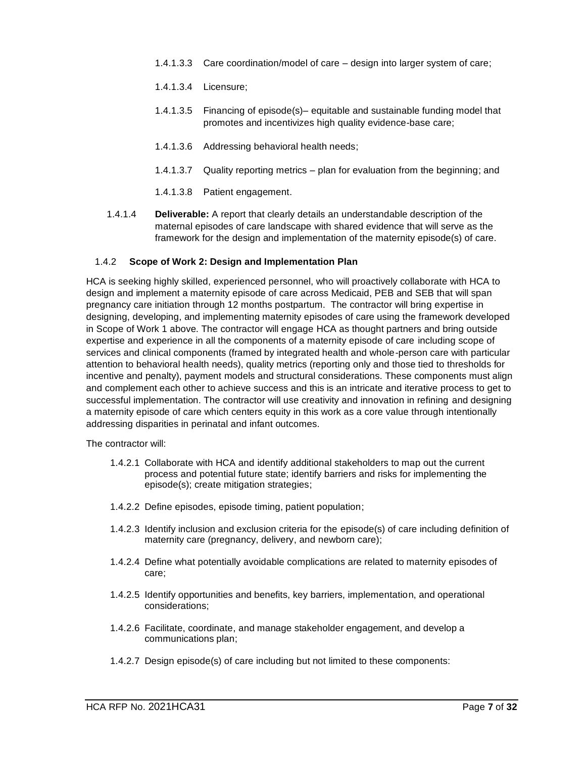- 1.4.1.3.3 Care coordination/model of care design into larger system of care;
- 1.4.1.3.4 Licensure;
- 1.4.1.3.5 Financing of episode(s)– equitable and sustainable funding model that promotes and incentivizes high quality evidence-base care;
- 1.4.1.3.6 Addressing behavioral health needs;
- 1.4.1.3.7 Quality reporting metrics plan for evaluation from the beginning; and
- 1.4.1.3.8 Patient engagement.
- 1.4.1.4 **Deliverable:** A report that clearly details an understandable description of the maternal episodes of care landscape with shared evidence that will serve as the framework for the design and implementation of the maternity episode(s) of care.

#### 1.4.2 **Scope of Work 2: Design and Implementation Plan**

HCA is seeking highly skilled, experienced personnel, who will proactively collaborate with HCA to design and implement a maternity episode of care across Medicaid, PEB and SEB that will span pregnancy care initiation through 12 months postpartum. The contractor will bring expertise in designing, developing, and implementing maternity episodes of care using the framework developed in Scope of Work 1 above. The contractor will engage HCA as thought partners and bring outside expertise and experience in all the components of a maternity episode of care including scope of services and clinical components (framed by integrated health and whole-person care with particular attention to behavioral health needs), quality metrics (reporting only and those tied to thresholds for incentive and penalty), payment models and structural considerations. These components must align and complement each other to achieve success and this is an intricate and iterative process to get to successful implementation. The contractor will use creativity and innovation in refining and designing a maternity episode of care which centers equity in this work as a core value through intentionally addressing disparities in perinatal and infant outcomes.

The contractor will:

- 1.4.2.1 Collaborate with HCA and identify additional stakeholders to map out the current process and potential future state; identify barriers and risks for implementing the episode(s); create mitigation strategies;
- 1.4.2.2 Define episodes, episode timing, patient population;
- 1.4.2.3 Identify inclusion and exclusion criteria for the episode(s) of care including definition of maternity care (pregnancy, delivery, and newborn care);
- 1.4.2.4 Define what potentially avoidable complications are related to maternity episodes of care;
- 1.4.2.5 Identify opportunities and benefits, key barriers, implementation, and operational considerations;
- 1.4.2.6 Facilitate, coordinate, and manage stakeholder engagement, and develop a communications plan;
- 1.4.2.7 Design episode(s) of care including but not limited to these components: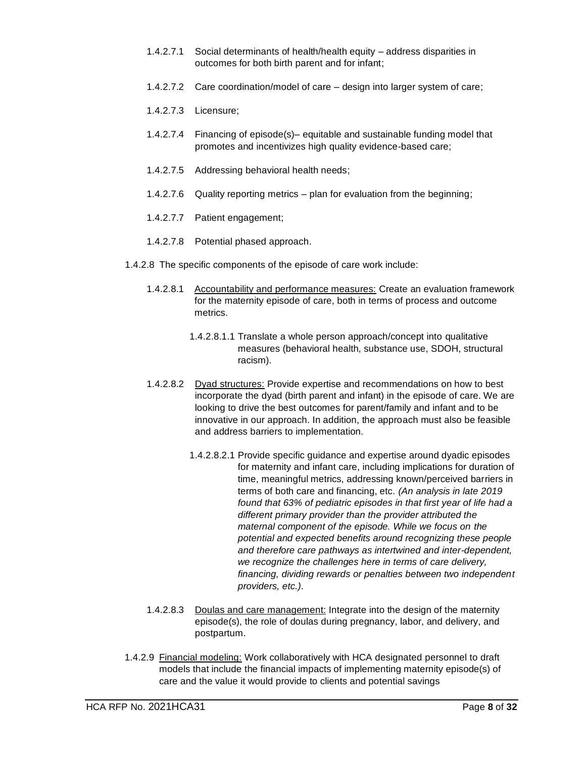- 1.4.2.7.1 Social determinants of health/health equity address disparities in outcomes for both birth parent and for infant;
- 1.4.2.7.2 Care coordination/model of care design into larger system of care;
- 1.4.2.7.3 Licensure;
- 1.4.2.7.4 Financing of episode(s)– equitable and sustainable funding model that promotes and incentivizes high quality evidence-based care;
- 1.4.2.7.5 Addressing behavioral health needs;
- 1.4.2.7.6 Quality reporting metrics plan for evaluation from the beginning;
- 1.4.2.7.7 Patient engagement;
- 1.4.2.7.8 Potential phased approach.
- 1.4.2.8 The specific components of the episode of care work include:
	- 1.4.2.8.1 Accountability and performance measures: Create an evaluation framework for the maternity episode of care, both in terms of process and outcome metrics.
		- 1.4.2.8.1.1 Translate a whole person approach/concept into qualitative measures (behavioral health, substance use, SDOH, structural racism).
	- 1.4.2.8.2 Dyad structures: Provide expertise and recommendations on how to best incorporate the dyad (birth parent and infant) in the episode of care. We are looking to drive the best outcomes for parent/family and infant and to be innovative in our approach. In addition, the approach must also be feasible and address barriers to implementation.
		- 1.4.2.8.2.1 Provide specific guidance and expertise around dyadic episodes for maternity and infant care, including implications for duration of time, meaningful metrics, addressing known/perceived barriers in terms of both care and financing, etc*. (An analysis in late 2019 found that 63% of pediatric episodes in that first year of life had a different primary provider than the provider attributed the maternal component of the episode. While we focus on the potential and expected benefits around recognizing these people and therefore care pathways as intertwined and inter-dependent, we recognize the challenges here in terms of care delivery, financing, dividing rewards or penalties between two independent providers, etc.)*.
	- 1.4.2.8.3 Doulas and care management: Integrate into the design of the maternity episode(s), the role of doulas during pregnancy, labor, and delivery, and postpartum.
- 1.4.2.9 Financial modeling: Work collaboratively with HCA designated personnel to draft models that include the financial impacts of implementing maternity episode(s) of care and the value it would provide to clients and potential savings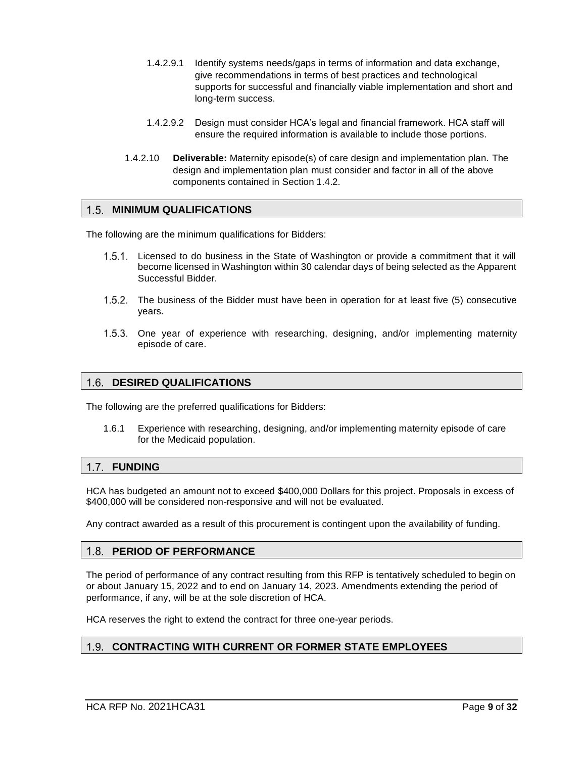- 1.4.2.9.1 Identify systems needs/gaps in terms of information and data exchange, give recommendations in terms of best practices and technological supports for successful and financially viable implementation and short and long-term success.
- 1.4.2.9.2 Design must consider HCA's legal and financial framework. HCA staff will ensure the required information is available to include those portions.
- 1.4.2.10 **Deliverable:** Maternity episode(s) of care design and implementation plan. The design and implementation plan must consider and factor in all of the above components contained in Section 1.4.2.

#### <span id="page-8-0"></span>1.5. MINIMUM QUALIFICATIONS

The following are the minimum qualifications for Bidders:

- 1.5.1. Licensed to do business in the State of Washington or provide a commitment that it will become licensed in Washington within 30 calendar days of being selected as the Apparent Successful Bidder.
- 1.5.2. The business of the Bidder must have been in operation for at least five (5) consecutive years.
- 1.5.3. One year of experience with researching, designing, and/or implementing maternity episode of care.

#### <span id="page-8-1"></span>**DESIRED QUALIFICATIONS**

The following are the preferred qualifications for Bidders:

1.6.1 Experience with researching, designing, and/or implementing maternity episode of care for the Medicaid population.

#### <span id="page-8-2"></span>**FUNDING**

HCA has budgeted an amount not to exceed \$400,000 Dollars for this project. Proposals in excess of \$400,000 will be considered non-responsive and will not be evaluated.

<span id="page-8-3"></span>Any contract awarded as a result of this procurement is contingent upon the availability of funding.

#### **PERIOD OF PERFORMANCE**

The period of performance of any contract resulting from this RFP is tentatively scheduled to begin on or about January 15, 2022 and to end on January 14, 2023. Amendments extending the period of performance, if any, will be at the sole discretion of HCA.

<span id="page-8-4"></span>HCA reserves the right to extend the contract for three one-year periods.

## **CONTRACTING WITH CURRENT OR FORMER STATE EMPLOYEES**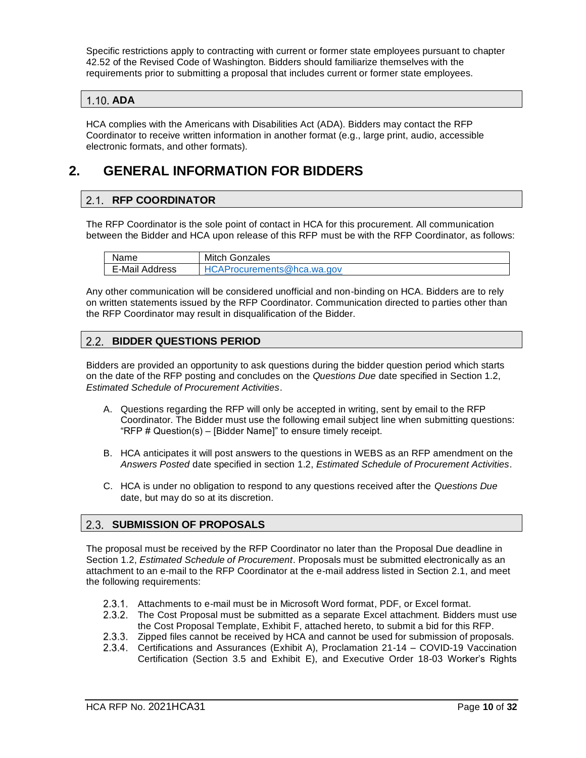Specific restrictions apply to contracting with current or former state employees pursuant to chapter 42.52 of the Revised Code of Washington. Bidders should familiarize themselves with the requirements prior to submitting a proposal that includes current or former state employees.

## <span id="page-9-0"></span>**ADA**

HCA complies with the Americans with Disabilities Act (ADA). Bidders may contact the RFP Coordinator to receive written information in another format (e.g., large print, audio, accessible electronic formats, and other formats).

# <span id="page-9-2"></span><span id="page-9-1"></span>**2. GENERAL INFORMATION FOR BIDDERS**

## 2.1. RFP COORDINATOR

The RFP Coordinator is the sole point of contact in HCA for this procurement. All communication between the Bidder and HCA upon release of this RFP must be with the RFP Coordinator, as follows:

| Name           | Mitch Gonzales                    |
|----------------|-----------------------------------|
| E-Mail Address | <b>HCAProcurements@hca.wa.gov</b> |

Any other communication will be considered unofficial and non-binding on HCA. Bidders are to rely on written statements issued by the RFP Coordinator. Communication directed to parties other than the RFP Coordinator may result in disqualification of the Bidder.

#### <span id="page-9-3"></span> $2.2.$ **BIDDER QUESTIONS PERIOD**

Bidders are provided an opportunity to ask questions during the bidder question period which starts on the date of the RFP posting and concludes on the *Questions Due* date specified in Section 1.2, *Estimated Schedule of Procurement Activities*.

- A. Questions regarding the RFP will only be accepted in writing, sent by email to the RFP Coordinator. The Bidder must use the following email subject line when submitting questions: "RFP # Question(s) – [Bidder Name]" to ensure timely receipt.
- B. HCA anticipates it will post answers to the questions in WEBS as an RFP amendment on the *Answers Posted* date specified in section 1.2, *Estimated Schedule of Procurement Activities*.
- C. HCA is under no obligation to respond to any questions received after the *Questions Due* date, but may do so at its discretion.

## <span id="page-9-4"></span>**2.3. SUBMISSION OF PROPOSALS**

The proposal must be received by the RFP Coordinator no later than the Proposal Due deadline in Section 1.2, *Estimated Schedule of Procurement*. Proposals must be submitted electronically as an attachment to an e-mail to the RFP Coordinator at the e-mail address listed in Section [2.](#page-9-1)1, and meet the following requirements:

- 2.3.1. Attachments to e-mail must be in Microsoft Word format, PDF, or Excel format.
- 2.3.2. The Cost Proposal must be submitted as a separate Excel attachment. Bidders must use the Cost Proposal Template, Exhibit F, attached hereto, to submit a bid for this RFP.
- 2.3.3. Zipped files cannot be received by HCA and cannot be used for submission of proposals.
- Certifications and Assurances (Exhibit A), Proclamation 21-14 COVID-19 Vaccination Certification (Section 3.5 and Exhibit E), and Executive Order 18-03 Worker's Rights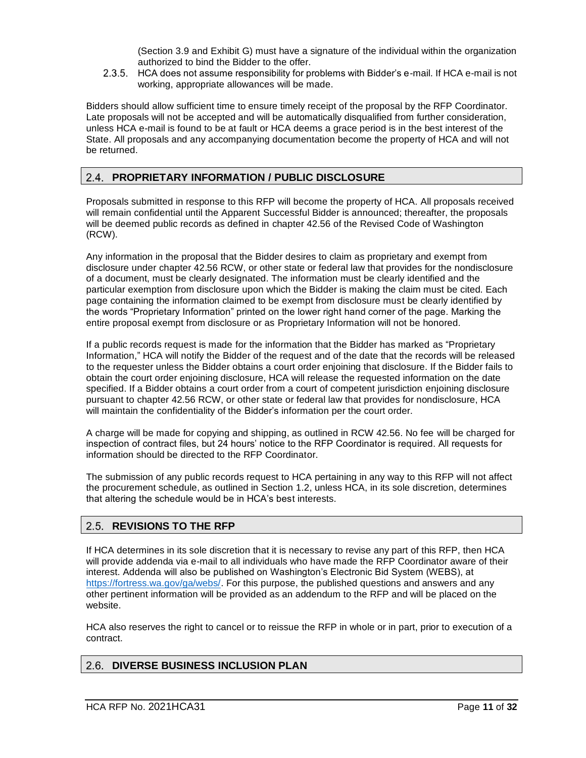(Section 3.9 and Exhibit G) must have a signature of the individual within the organization authorized to bind the Bidder to the offer.

HCA does not assume responsibility for problems with Bidder's e-mail. If HCA e-mail is not working, appropriate allowances will be made.

Bidders should allow sufficient time to ensure timely receipt of the proposal by the RFP Coordinator. Late proposals will not be accepted and will be automatically disqualified from further consideration, unless HCA e-mail is found to be at fault or HCA deems a grace period is in the best interest of the State. All proposals and any accompanying documentation become the property of HCA and will not be returned.

## <span id="page-10-0"></span>**PROPRIETARY INFORMATION / PUBLIC DISCLOSURE**

Proposals submitted in response to this RFP will become the property of HCA. All proposals received will remain confidential until the Apparent Successful Bidder is announced; thereafter, the proposals will be deemed public records as defined in chapter 42.56 of the Revised Code of Washington (RCW).

Any information in the proposal that the Bidder desires to claim as proprietary and exempt from disclosure under chapter 42.56 RCW, or other state or federal law that provides for the nondisclosure of a document, must be clearly designated. The information must be clearly identified and the particular exemption from disclosure upon which the Bidder is making the claim must be cited. Each page containing the information claimed to be exempt from disclosure must be clearly identified by the words "Proprietary Information" printed on the lower right hand corner of the page. Marking the entire proposal exempt from disclosure or as Proprietary Information will not be honored.

If a public records request is made for the information that the Bidder has marked as "Proprietary Information," HCA will notify the Bidder of the request and of the date that the records will be released to the requester unless the Bidder obtains a court order enjoining that disclosure. If the Bidder fails to obtain the court order enjoining disclosure, HCA will release the requested information on the date specified. If a Bidder obtains a court order from a court of competent jurisdiction enjoining disclosure pursuant to chapter 42.56 RCW, or other state or federal law that provides for nondisclosure, HCA will maintain the confidentiality of the Bidder's information per the court order.

A charge will be made for copying and shipping, as outlined in RCW 42.56. No fee will be charged for inspection of contract files, but 24 hours' notice to the RFP Coordinator is required. All requests for information should be directed to the RFP Coordinator.

The submission of any public records request to HCA pertaining in any way to this RFP will not affect the procurement schedule, as outlined in Section 1.2, unless HCA, in its sole discretion, determines that altering the schedule would be in HCA's best interests.

## <span id="page-10-1"></span>**REVISIONS TO THE RFP**

If HCA determines in its sole discretion that it is necessary to revise any part of this RFP, then HCA will provide addenda via e-mail to all individuals who have made the RFP Coordinator aware of their interest. Addenda will also be published on Washington's Electronic Bid System (WEBS), at [https://fortress.wa.gov/ga/webs/.](https://fortress.wa.gov/ga/webs/) For this purpose, the published questions and answers and any other pertinent information will be provided as an addendum to the RFP and will be placed on the website.

HCA also reserves the right to cancel or to reissue the RFP in whole or in part, prior to execution of a contract.

#### <span id="page-10-2"></span> $2.6.$ **DIVERSE BUSINESS INCLUSION PLAN**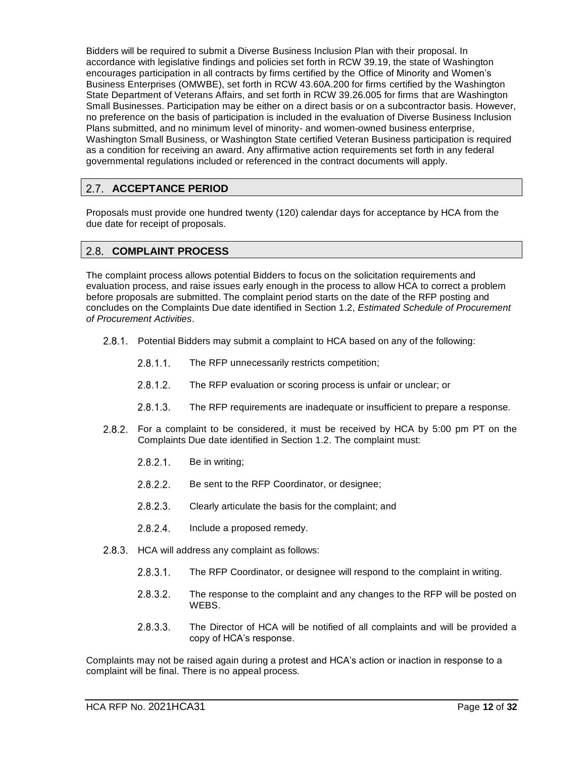Bidders will be required to submit a Diverse Business Inclusion Plan with their proposal. In accordance with legislative findings and policies set forth in RCW 39.19, the state of Washington encourages participation in all contracts by firms certified by the Office of Minority and Women's Business Enterprises (OMWBE), set forth in RCW 43.60A.200 for firms certified by the Washington State Department of Veterans Affairs, and set forth in RCW 39.26.005 for firms that are Washington Small Businesses. Participation may be either on a direct basis or on a subcontractor basis. However, no preference on the basis of participation is included in the evaluation of Diverse Business Inclusion Plans submitted, and no minimum level of minority- and women-owned business enterprise, Washington Small Business, or Washington State certified Veteran Business participation is required as a condition for receiving an award. Any affirmative action requirements set forth in any federal governmental regulations included or referenced in the contract documents will apply.

## <span id="page-11-0"></span>2.7. ACCEPTANCE PERIOD

Proposals must provide one hundred twenty (120) calendar days for acceptance by HCA from the due date for receipt of proposals.

#### <span id="page-11-1"></span> $2.8.$ **COMPLAINT PROCESS**

The complaint process allows potential Bidders to focus on the solicitation requirements and evaluation process, and raise issues early enough in the process to allow HCA to correct a problem before proposals are submitted. The complaint period starts on the date of the RFP posting and concludes on the Complaints Due date identified in Section 1.2, *Estimated Schedule of Procurement of Procurement Activities*.

- 2.8.1. Potential Bidders may submit a complaint to HCA based on any of the following:
	- $2.8.1.1$ . The RFP unnecessarily restricts competition;
	- $2.8.1.2.$ The RFP evaluation or scoring process is unfair or unclear; or
	- $2.8.1.3.$ The RFP requirements are inadequate or insufficient to prepare a response.
- 2.8.2. For a complaint to be considered, it must be received by HCA by 5:00 pm PT on the Complaints Due date identified in Section 1.2. The complaint must:
	- $2.8.2.1$ . Be in writing;
	- $2.8.2.2.$ Be sent to the RFP Coordinator, or designee;
	- $2.8.2.3.$ Clearly articulate the basis for the complaint; and
	- $2.8.2.4.$ Include a proposed remedy.
- 2.8.3. HCA will address any complaint as follows:
	- $2.8.3.1$ . The RFP Coordinator, or designee will respond to the complaint in writing.
	- $2.8.3.2.$ The response to the complaint and any changes to the RFP will be posted on WEBS.
	- $2.8.3.3.$ The Director of HCA will be notified of all complaints and will be provided a copy of HCA's response.

Complaints may not be raised again during a protest and HCA's action or inaction in response to a complaint will be final. There is no appeal process.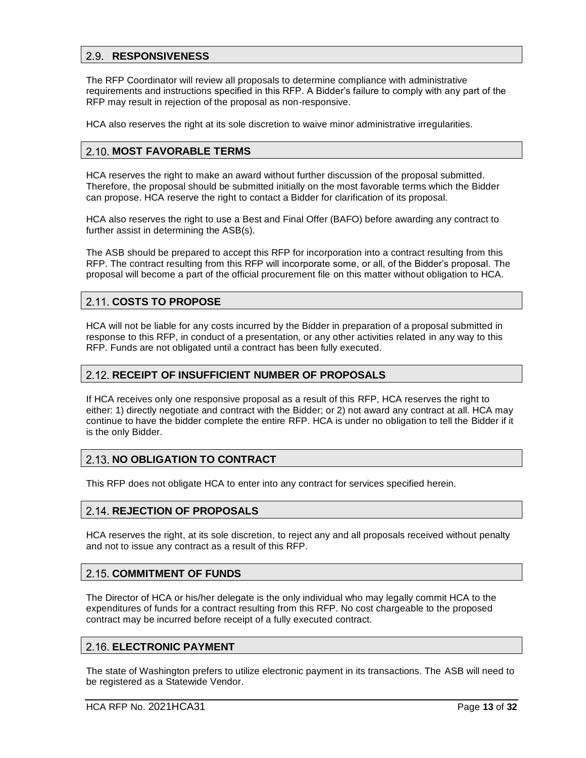#### <span id="page-12-0"></span>**RESPONSIVENESS**

The RFP Coordinator will review all proposals to determine compliance with administrative requirements and instructions specified in this RFP. A Bidder's failure to comply with any part of the RFP may result in rejection of the proposal as non-responsive.

<span id="page-12-1"></span>HCA also reserves the right at its sole discretion to waive minor administrative irregularities.

#### **MOST FAVORABLE TERMS**

HCA reserves the right to make an award without further discussion of the proposal submitted. Therefore, the proposal should be submitted initially on the most favorable terms which the Bidder can propose. HCA reserve the right to contact a Bidder for clarification of its proposal.

HCA also reserves the right to use a Best and Final Offer (BAFO) before awarding any contract to further assist in determining the ASB(s).

The ASB should be prepared to accept this RFP for incorporation into a contract resulting from this RFP. The contract resulting from this RFP will incorporate some, or all, of the Bidder's proposal. The proposal will become a part of the official procurement file on this matter without obligation to HCA.

#### <span id="page-12-2"></span>2.11. COSTS TO PROPOSE

HCA will not be liable for any costs incurred by the Bidder in preparation of a proposal submitted in response to this RFP, in conduct of a presentation, or any other activities related in any way to this RFP. Funds are not obligated until a contract has been fully executed.

#### <span id="page-12-3"></span>**RECEIPT OF INSUFFICIENT NUMBER OF PROPOSALS**

If HCA receives only one responsive proposal as a result of this RFP, HCA reserves the right to either: 1) directly negotiate and contract with the Bidder; or 2) not award any contract at all. HCA may continue to have the bidder complete the entire RFP. HCA is under no obligation to tell the Bidder if it is the only Bidder.

#### <span id="page-12-4"></span>**2.13. NO OBLIGATION TO CONTRACT**

<span id="page-12-5"></span>This RFP does not obligate HCA to enter into any contract for services specified herein.

#### **REJECTION OF PROPOSALS**

HCA reserves the right, at its sole discretion, to reject any and all proposals received without penalty and not to issue any contract as a result of this RFP.

#### <span id="page-12-6"></span>**2.15. COMMITMENT OF FUNDS**

The Director of HCA or his/her delegate is the only individual who may legally commit HCA to the expenditures of funds for a contract resulting from this RFP. No cost chargeable to the proposed contract may be incurred before receipt of a fully executed contract.

#### <span id="page-12-7"></span>**ELECTRONIC PAYMENT**

The state of Washington prefers to utilize electronic payment in its transactions. The ASB will need to be registered as a Statewide Vendor.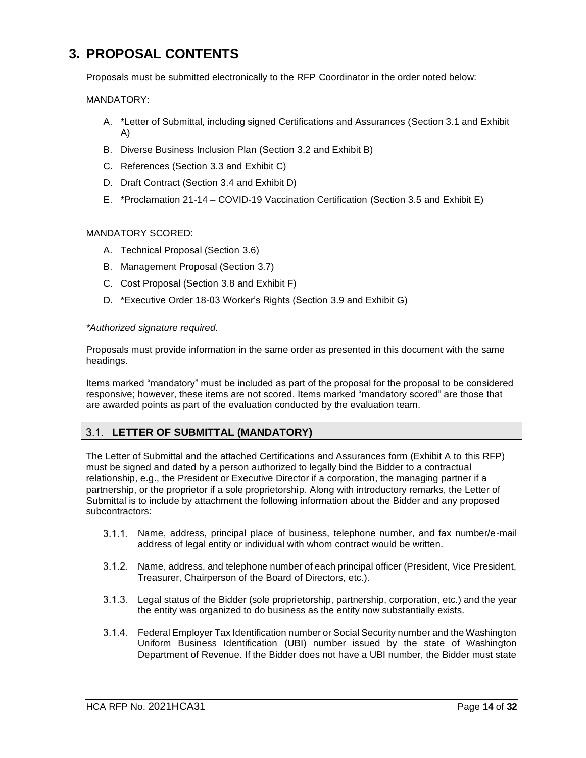# <span id="page-13-0"></span>**3. PROPOSAL CONTENTS**

Proposals must be submitted electronically to the RFP Coordinator in the order noted below:

MANDATORY:

- A. \*Letter of Submittal, including signed Certifications and Assurances (Section 3.1 and Exhibit A)
- B. Diverse Business Inclusion Plan (Section 3.2 and Exhibit B)
- C. References (Section 3.3 and Exhibit C)
- D. Draft Contract (Section 3.4 and Exhibit D)
- E. \*Proclamation 21-14 COVID-19 Vaccination Certification (Section 3.5 and Exhibit E)

#### MANDATORY SCORED:

- A. Technical Proposal (Section 3.6)
- B. Management Proposal (Section 3.7)
- C. Cost Proposal (Section 3.8 and Exhibit F)
- D. \*Executive Order 18-03 Worker's Rights (Section 3.9 and Exhibit G)

#### *\*Authorized signature required.*

Proposals must provide information in the same order as presented in this document with the same headings.

Items marked "mandatory" must be included as part of the proposal for the proposal to be considered responsive; however, these items are not scored. Items marked "mandatory scored" are those that are awarded points as part of the evaluation conducted by the evaluation team.

#### <span id="page-13-1"></span> $3.1.$ **LETTER OF SUBMITTAL (MANDATORY)**

The Letter of Submittal and the attached Certifications and Assurances form (Exhibit A to this RFP) must be signed and dated by a person authorized to legally bind the Bidder to a contractual relationship, e.g., the President or Executive Director if a corporation, the managing partner if a partnership, or the proprietor if a sole proprietorship. Along with introductory remarks, the Letter of Submittal is to include by attachment the following information about the Bidder and any proposed subcontractors:

- 3.1.1. Name, address, principal place of business, telephone number, and fax number/e-mail address of legal entity or individual with whom contract would be written.
- $3.1.2.$ Name, address, and telephone number of each principal officer (President, Vice President, Treasurer, Chairperson of the Board of Directors, etc.).
- $3.1.3.$ Legal status of the Bidder (sole proprietorship, partnership, corporation, etc.) and the year the entity was organized to do business as the entity now substantially exists.
- Federal Employer Tax Identification number or Social Security number and the Washington Uniform Business Identification (UBI) number issued by the state of Washington Department of Revenue. If the Bidder does not have a UBI number, the Bidder must state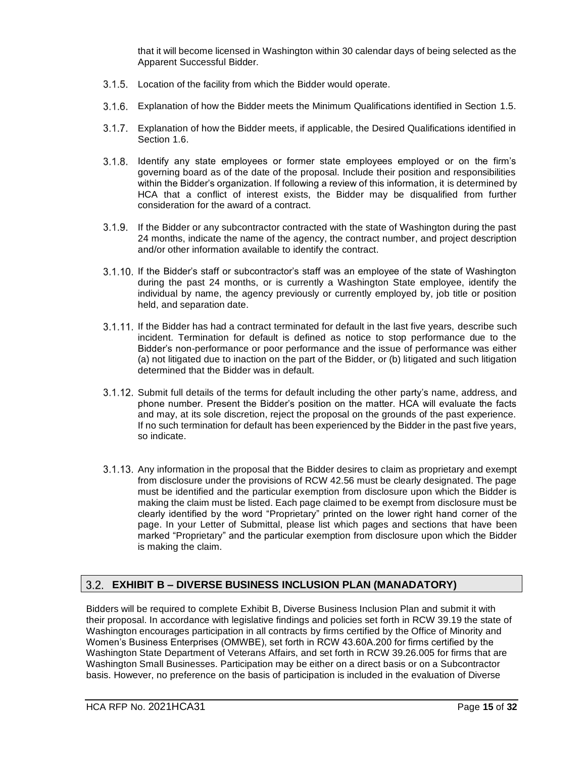that it will become licensed in Washington within 30 calendar days of being selected as the Apparent Successful Bidder.

- 3.1.5. Location of the facility from which the Bidder would operate.
- Explanation of how the Bidder meets the Minimum Qualifications identified in Section 1.5.
- Explanation of how the Bidder meets, if applicable, the Desired Qualifications identified in Section 1.6.
- Identify any state employees or former state employees employed or on the firm's governing board as of the date of the proposal. Include their position and responsibilities within the Bidder's organization. If following a review of this information, it is determined by HCA that a conflict of interest exists, the Bidder may be disqualified from further consideration for the award of a contract.
- If the Bidder or any subcontractor contracted with the state of Washington during the past 24 months, indicate the name of the agency, the contract number, and project description and/or other information available to identify the contract.
- 3.1.10. If the Bidder's staff or subcontractor's staff was an employee of the state of Washington during the past 24 months, or is currently a Washington State employee, identify the individual by name, the agency previously or currently employed by, job title or position held, and separation date.
- 3.1.11. If the Bidder has had a contract terminated for default in the last five years, describe such incident. Termination for default is defined as notice to stop performance due to the Bidder's non-performance or poor performance and the issue of performance was either (a) not litigated due to inaction on the part of the Bidder, or (b) litigated and such litigation determined that the Bidder was in default.
- 3.1.12. Submit full details of the terms for default including the other party's name, address, and phone number. Present the Bidder's position on the matter. HCA will evaluate the facts and may, at its sole discretion, reject the proposal on the grounds of the past experience. If no such termination for default has been experienced by the Bidder in the past five years, so indicate.
- 3.1.13. Any information in the proposal that the Bidder desires to claim as proprietary and exempt from disclosure under the provisions of RCW 42.56 must be clearly designated. The page must be identified and the particular exemption from disclosure upon which the Bidder is making the claim must be listed. Each page claimed to be exempt from disclosure must be clearly identified by the word "Proprietary" printed on the lower right hand corner of the page. In your Letter of Submittal, please list which pages and sections that have been marked "Proprietary" and the particular exemption from disclosure upon which the Bidder is making the claim.

## <span id="page-14-0"></span>**EXHIBIT B – DIVERSE BUSINESS INCLUSION PLAN (MANADATORY)**

Bidders will be required to complete Exhibit B, Diverse Business Inclusion Plan and submit it with their proposal. In accordance with legislative findings and policies set forth in RCW 39.19 the state of Washington encourages participation in all contracts by firms certified by the Office of Minority and Women's Business Enterprises (OMWBE), set forth in RCW 43.60A.200 for firms certified by the Washington State Department of Veterans Affairs, and set forth in RCW 39.26.005 for firms that are Washington Small Businesses. Participation may be either on a direct basis or on a Subcontractor basis. However, no preference on the basis of participation is included in the evaluation of Diverse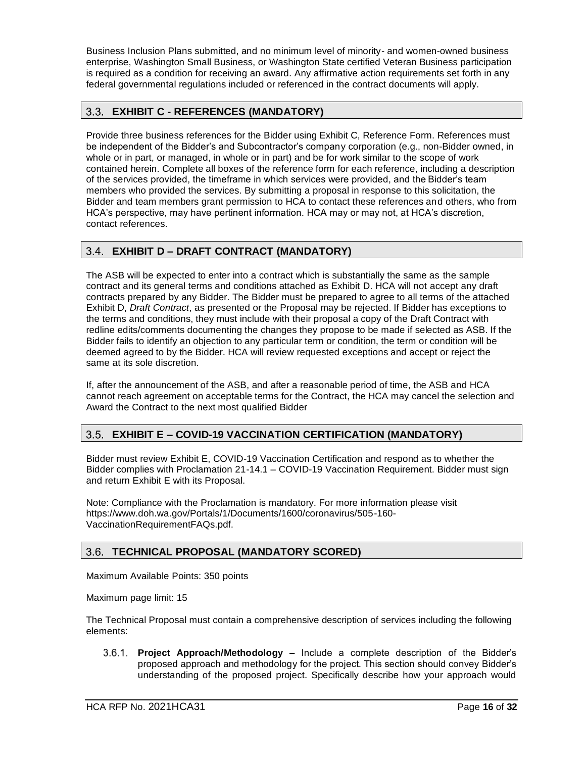Business Inclusion Plans submitted, and no minimum level of minority- and women-owned business enterprise, Washington Small Business, or Washington State certified Veteran Business participation is required as a condition for receiving an award. Any affirmative action requirements set forth in any federal governmental regulations included or referenced in the contract documents will apply.

## <span id="page-15-0"></span>**EXHIBIT C - REFERENCES (MANDATORY)**

Provide three business references for the Bidder using Exhibit C, Reference Form. References must be independent of the Bidder's and Subcontractor's company corporation (e.g., non-Bidder owned, in whole or in part, or managed, in whole or in part) and be for work similar to the scope of work contained herein. Complete all boxes of the reference form for each reference, including a description of the services provided, the timeframe in which services were provided, and the Bidder's team members who provided the services. By submitting a proposal in response to this solicitation, the Bidder and team members grant permission to HCA to contact these references and others, who from HCA's perspective, may have pertinent information. HCA may or may not, at HCA's discretion, contact references.

#### <span id="page-15-1"></span> $3.4.$ **EXHIBIT D – DRAFT CONTRACT (MANDATORY)**

The ASB will be expected to enter into a contract which is substantially the same as the sample contract and its general terms and conditions attached as Exhibit D. HCA will not accept any draft contracts prepared by any Bidder. The Bidder must be prepared to agree to all terms of the attached Exhibit D, *Draft Contract*, as presented or the Proposal may be rejected. If Bidder has exceptions to the terms and conditions, they must include with their proposal a copy of the Draft Contract with redline edits/comments documenting the changes they propose to be made if selected as ASB. If the Bidder fails to identify an objection to any particular term or condition, the term or condition will be deemed agreed to by the Bidder. HCA will review requested exceptions and accept or reject the same at its sole discretion.

If, after the announcement of the ASB, and after a reasonable period of time, the ASB and HCA cannot reach agreement on acceptable terms for the Contract, the HCA may cancel the selection and Award the Contract to the next most qualified Bidder

## <span id="page-15-2"></span>**EXHIBIT E – COVID-19 VACCINATION CERTIFICATION (MANDATORY)**

Bidder must review Exhibit E, COVID-19 Vaccination Certification and respond as to whether the Bidder complies with Proclamation 21-14.1 – COVID-19 Vaccination Requirement. Bidder must sign and return Exhibit E with its Proposal.

Note: Compliance with the Proclamation is mandatory. For more information please visit https://www.doh.wa.gov/Portals/1/Documents/1600/coronavirus/505-160- VaccinationRequirementFAQs.pdf.

## <span id="page-15-3"></span>**TECHNICAL PROPOSAL (MANDATORY SCORED)**

Maximum Available Points: 350 points

Maximum page limit: 15

The Technical Proposal must contain a comprehensive description of services including the following elements:

**Project Approach/Methodology –** Include a complete description of the Bidder's proposed approach and methodology for the project. This section should convey Bidder's understanding of the proposed project. Specifically describe how your approach would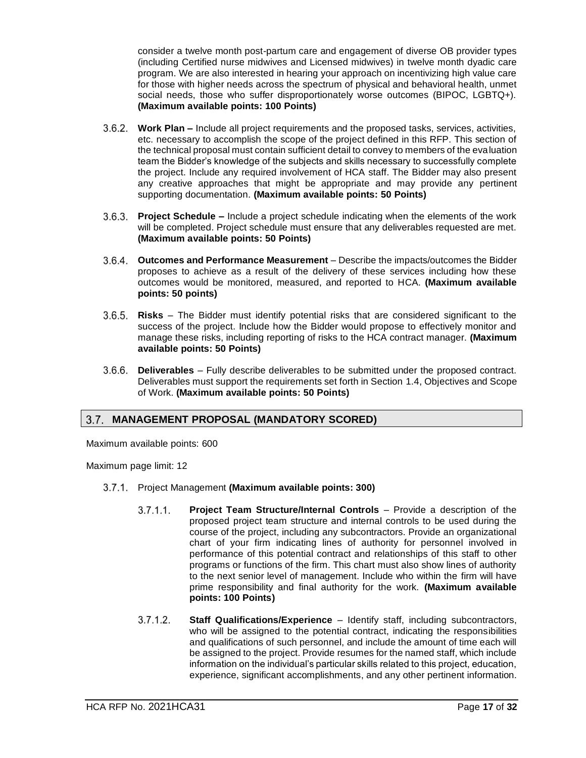consider a twelve month post-partum care and engagement of diverse OB provider types (including Certified nurse midwives and Licensed midwives) in twelve month dyadic care program. We are also interested in hearing your approach on incentivizing high value care for those with higher needs across the spectrum of physical and behavioral health, unmet social needs, those who suffer disproportionately worse outcomes (BIPOC, LGBTQ+). **(Maximum available points: 100 Points)**

- **Work Plan –** Include all project requirements and the proposed tasks, services, activities, etc. necessary to accomplish the scope of the project defined in this RFP. This section of the technical proposal must contain sufficient detail to convey to members of the evaluation team the Bidder's knowledge of the subjects and skills necessary to successfully complete the project. Include any required involvement of HCA staff. The Bidder may also present any creative approaches that might be appropriate and may provide any pertinent supporting documentation. **(Maximum available points: 50 Points)**
- $3.6.3.$ **Project Schedule –** Include a project schedule indicating when the elements of the work will be completed. Project schedule must ensure that any deliverables requested are met. **(Maximum available points: 50 Points)**
- **Outcomes and Performance Measurement** Describe the impacts/outcomes the Bidder proposes to achieve as a result of the delivery of these services including how these outcomes would be monitored, measured, and reported to HCA. **(Maximum available points: 50 points)**
- **Risks** The Bidder must identify potential risks that are considered significant to the success of the project. Include how the Bidder would propose to effectively monitor and manage these risks, including reporting of risks to the HCA contract manager. **(Maximum available points: 50 Points)**
- **Deliverables** Fully describe deliverables to be submitted under the proposed contract. Deliverables must support the requirements set forth in Section [1.4,](#page-5-0) Objectives and Scope of Work. **(Maximum available points: 50 Points)**

## <span id="page-16-0"></span>**MANAGEMENT PROPOSAL (MANDATORY SCORED)**

Maximum available points: 600

Maximum page limit: 12

- Project Management **(Maximum available points: 300)**
	- $3.7.1.1$ . **Project Team Structure/Internal Controls** – Provide a description of the proposed project team structure and internal controls to be used during the course of the project, including any subcontractors. Provide an organizational chart of your firm indicating lines of authority for personnel involved in performance of this potential contract and relationships of this staff to other programs or functions of the firm. This chart must also show lines of authority to the next senior level of management. Include who within the firm will have prime responsibility and final authority for the work. **(Maximum available points: 100 Points)**
	- $3.7.1.2.$ **Staff Qualifications/Experience** – Identify staff, including subcontractors, who will be assigned to the potential contract, indicating the responsibilities and qualifications of such personnel, and include the amount of time each will be assigned to the project. Provide resumes for the named staff, which include information on the individual's particular skills related to this project, education, experience, significant accomplishments, and any other pertinent information.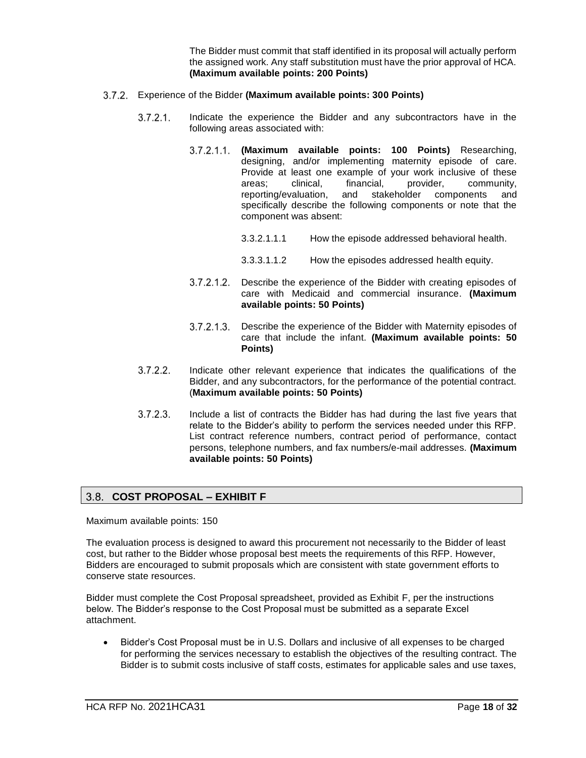The Bidder must commit that staff identified in its proposal will actually perform the assigned work. Any staff substitution must have the prior approval of HCA. **(Maximum available points: 200 Points)**

- Experience of the Bidder **(Maximum available points: 300 Points)**
	- $3.7.2.1$ . Indicate the experience the Bidder and any subcontractors have in the following areas associated with:
		- **(Maximum available points: 100 Points)** Researching, designing, and/or implementing maternity episode of care. Provide at least one example of your work inclusive of these areas; clinical, financial, provider, community, reporting/evaluation, and stakeholder components and specifically describe the following components or note that the component was absent:
			- 3.3.2.1.1.1 How the episode addressed behavioral health.
			- 3.3.3.1.1.2 How the episodes addressed health equity.
		- $3.7.2.1.2$ Describe the experience of the Bidder with creating episodes of care with Medicaid and commercial insurance. **(Maximum available points: 50 Points)**
		- $3.7.2.1.3.$ Describe the experience of the Bidder with Maternity episodes of care that include the infant. **(Maximum available points: 50 Points)**
	- $3.7.2.2.$ Indicate other relevant experience that indicates the qualifications of the Bidder, and any subcontractors, for the performance of the potential contract. (**Maximum available points: 50 Points)**
	- $3.7.2.3.$ Include a list of contracts the Bidder has had during the last five years that relate to the Bidder's ability to perform the services needed under this RFP. List contract reference numbers, contract period of performance, contact persons, telephone numbers, and fax numbers/e-mail addresses. **(Maximum available points: 50 Points)**

## <span id="page-17-0"></span>**COST PROPOSAL – EXHIBIT F**

Maximum available points: 150

The evaluation process is designed to award this procurement not necessarily to the Bidder of least cost, but rather to the Bidder whose proposal best meets the requirements of this RFP. However, Bidders are encouraged to submit proposals which are consistent with state government efforts to conserve state resources.

Bidder must complete the Cost Proposal spreadsheet, provided as Exhibit F, per the instructions below. The Bidder's response to the Cost Proposal must be submitted as a separate Excel attachment.

• Bidder's Cost Proposal must be in U.S. Dollars and inclusive of all expenses to be charged for performing the services necessary to establish the objectives of the resulting contract. The Bidder is to submit costs inclusive of staff costs, estimates for applicable sales and use taxes,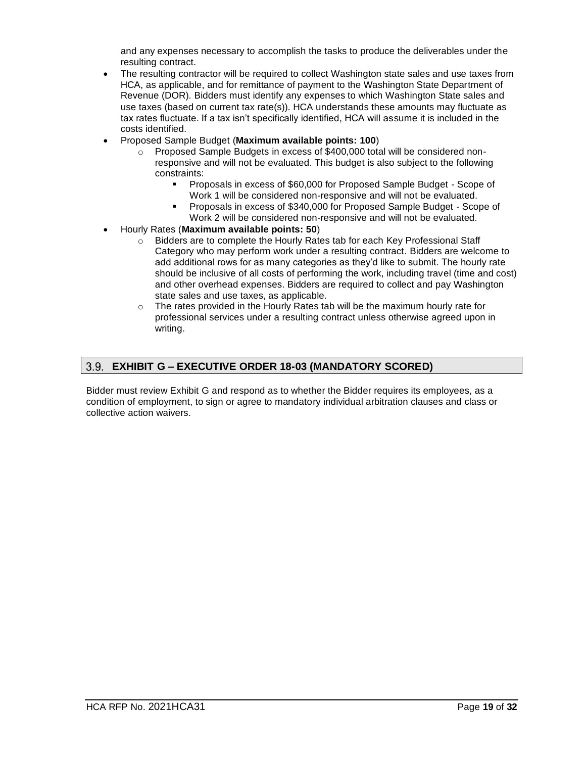and any expenses necessary to accomplish the tasks to produce the deliverables under the resulting contract.

- The resulting contractor will be required to collect Washington state sales and use taxes from HCA, as applicable, and for remittance of payment to the Washington State Department of Revenue (DOR). Bidders must identify any expenses to which Washington State sales and use taxes (based on current tax rate(s)). HCA understands these amounts may fluctuate as tax rates fluctuate. If a tax isn't specifically identified, HCA will assume it is included in the costs identified.
- Proposed Sample Budget (**Maximum available points: 100**)
	- o Proposed Sample Budgets in excess of \$400,000 total will be considered nonresponsive and will not be evaluated. This budget is also subject to the following constraints:
		- Proposals in excess of \$60,000 for Proposed Sample Budget Scope of Work 1 will be considered non-responsive and will not be evaluated.
		- Proposals in excess of \$340,000 for Proposed Sample Budget Scope of Work 2 will be considered non-responsive and will not be evaluated.
- Hourly Rates (**Maximum available points: 50**)
	- $\circ$  Bidders are to complete the Hourly Rates tab for each Key Professional Staff Category who may perform work under a resulting contract. Bidders are welcome to add additional rows for as many categories as they'd like to submit. The hourly rate should be inclusive of all costs of performing the work, including travel (time and cost) and other overhead expenses. Bidders are required to collect and pay Washington state sales and use taxes, as applicable.
	- $\circ$  The rates provided in the Hourly Rates tab will be the maximum hourly rate for professional services under a resulting contract unless otherwise agreed upon in writing.

#### <span id="page-18-0"></span> $3.9.$ **EXHIBIT G – EXECUTIVE ORDER 18-03 (MANDATORY SCORED)**

Bidder must review Exhibit G and respond as to whether the Bidder requires its employees, as a condition of employment, to sign or agree to mandatory individual arbitration clauses and class or collective action waivers.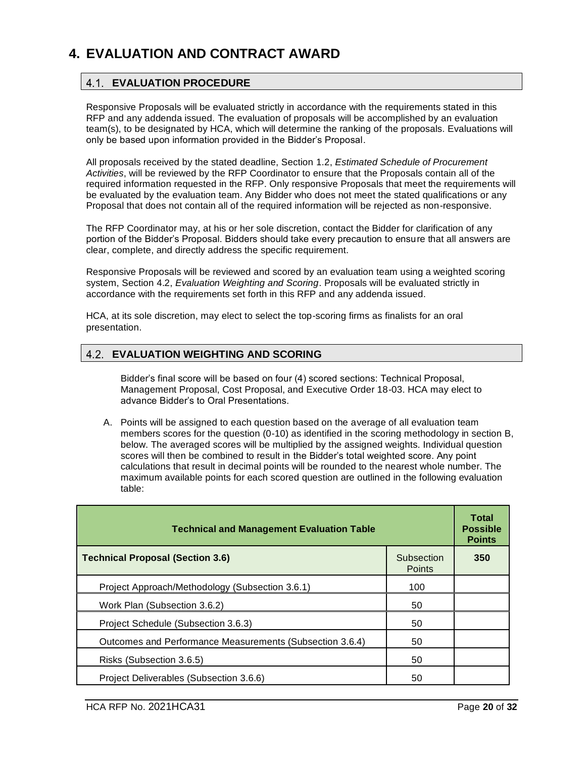# <span id="page-19-1"></span><span id="page-19-0"></span>**4. EVALUATION AND CONTRACT AWARD**

## **EVALUATION PROCEDURE**

Responsive Proposals will be evaluated strictly in accordance with the requirements stated in this RFP and any addenda issued. The evaluation of proposals will be accomplished by an evaluation team(s), to be designated by HCA, which will determine the ranking of the proposals. Evaluations will only be based upon information provided in the Bidder's Proposal.

All proposals received by the stated deadline, Section [1.2,](#page-3-2) *Estimated Schedule of Procurement Activities*, will be reviewed by the RFP Coordinator to ensure that the Proposals contain all of the required information requested in the RFP. Only responsive Proposals that meet the requirements will be evaluated by the evaluation team. Any Bidder who does not meet the stated qualifications or any Proposal that does not contain all of the required information will be rejected as non-responsive.

The RFP Coordinator may, at his or her sole discretion, contact the Bidder for clarification of any portion of the Bidder's Proposal. Bidders should take every precaution to ensure that all answers are clear, complete, and directly address the specific requirement.

Responsive Proposals will be reviewed and scored by an evaluation team using a weighted scoring system, Section [4.2,](#page-19-2) *Evaluation Weighting and Scoring*. Proposals will be evaluated strictly in accordance with the requirements set forth in this RFP and any addenda issued.

HCA, at its sole discretion, may elect to select the top-scoring firms as finalists for an oral presentation.

#### <span id="page-19-2"></span>4.2. **EVALUATION WEIGHTING AND SCORING**

Bidder's final score will be based on four (4) scored sections: Technical Proposal, Management Proposal, Cost Proposal, and Executive Order 18-03. HCA may elect to advance Bidder's to Oral Presentations.

A. Points will be assigned to each question based on the average of all evaluation team members scores for the question (0-10) as identified in the scoring methodology in section B, below. The averaged scores will be multiplied by the assigned weights. Individual question scores will then be combined to result in the Bidder's total weighted score. Any point calculations that result in decimal points will be rounded to the nearest whole number. The maximum available points for each scored question are outlined in the following evaluation table:

| <b>Technical and Management Evaluation Table</b>         |                             |     |  |
|----------------------------------------------------------|-----------------------------|-----|--|
| <b>Technical Proposal (Section 3.6)</b>                  | Subsection<br><b>Points</b> | 350 |  |
| Project Approach/Methodology (Subsection 3.6.1)          | 100                         |     |  |
| Work Plan (Subsection 3.6.2)                             | 50                          |     |  |
| Project Schedule (Subsection 3.6.3)                      | 50                          |     |  |
| Outcomes and Performance Measurements (Subsection 3.6.4) | 50                          |     |  |
| Risks (Subsection 3.6.5)                                 | 50                          |     |  |
| Project Deliverables (Subsection 3.6.6)                  | 50                          |     |  |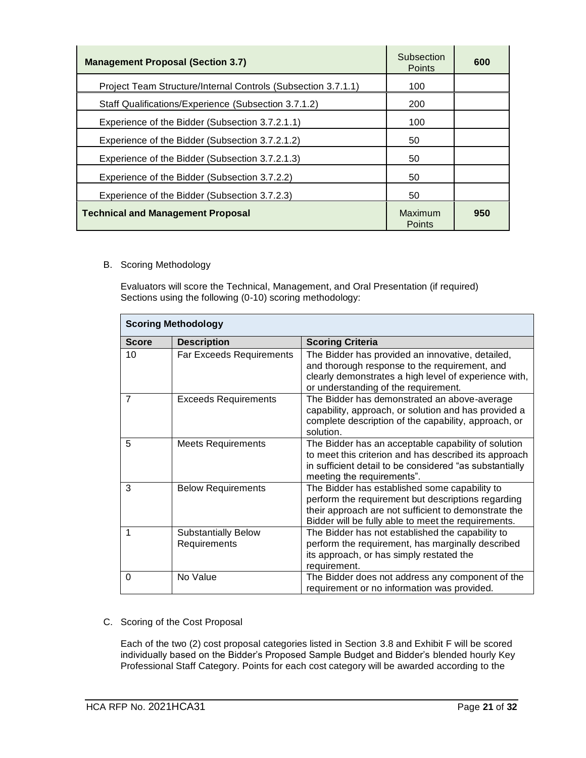| <b>Management Proposal (Section 3.7)</b>                      | Subsection<br><b>Points</b> | 600 |
|---------------------------------------------------------------|-----------------------------|-----|
| Project Team Structure/Internal Controls (Subsection 3.7.1.1) | 100                         |     |
| Staff Qualifications/Experience (Subsection 3.7.1.2)          | 200                         |     |
| Experience of the Bidder (Subsection 3.7.2.1.1)               | 100                         |     |
| Experience of the Bidder (Subsection 3.7.2.1.2)               | 50                          |     |
| Experience of the Bidder (Subsection 3.7.2.1.3)               | 50                          |     |
| Experience of the Bidder (Subsection 3.7.2.2)                 | 50                          |     |
| Experience of the Bidder (Subsection 3.7.2.3)                 | 50                          |     |
| <b>Technical and Management Proposal</b>                      | Maximum<br><b>Points</b>    | 950 |

#### B. Scoring Methodology

Evaluators will score the Technical, Management, and Oral Presentation (if required) Sections using the following (0-10) scoring methodology:

| <b>Scoring Methodology</b> |                                            |                                                                                                                                                                                                                    |  |  |
|----------------------------|--------------------------------------------|--------------------------------------------------------------------------------------------------------------------------------------------------------------------------------------------------------------------|--|--|
| <b>Score</b>               | <b>Description</b>                         | <b>Scoring Criteria</b>                                                                                                                                                                                            |  |  |
| 10                         | <b>Far Exceeds Requirements</b>            | The Bidder has provided an innovative, detailed,<br>and thorough response to the requirement, and<br>clearly demonstrates a high level of experience with,<br>or understanding of the requirement.                 |  |  |
| $\overline{7}$             | <b>Exceeds Requirements</b>                | The Bidder has demonstrated an above-average<br>capability, approach, or solution and has provided a<br>complete description of the capability, approach, or<br>solution.                                          |  |  |
| 5                          | <b>Meets Requirements</b>                  | The Bidder has an acceptable capability of solution<br>to meet this criterion and has described its approach<br>in sufficient detail to be considered "as substantially<br>meeting the requirements".              |  |  |
| 3                          | <b>Below Requirements</b>                  | The Bidder has established some capability to<br>perform the requirement but descriptions regarding<br>their approach are not sufficient to demonstrate the<br>Bidder will be fully able to meet the requirements. |  |  |
| 1                          | <b>Substantially Below</b><br>Requirements | The Bidder has not established the capability to<br>perform the requirement, has marginally described<br>its approach, or has simply restated the<br>requirement.                                                  |  |  |
| $\Omega$                   | No Value                                   | The Bidder does not address any component of the<br>requirement or no information was provided.                                                                                                                    |  |  |

C. Scoring of the Cost Proposal

Each of the two (2) cost proposal categories listed in Section 3.8 and Exhibit F will be scored individually based on the Bidder's Proposed Sample Budget and Bidder's blended hourly Key Professional Staff Category. Points for each cost category will be awarded according to the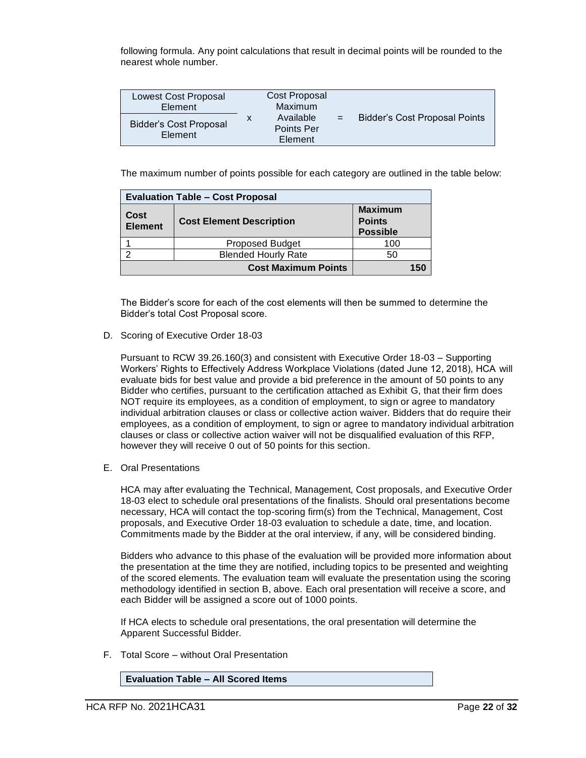following formula. Any point calculations that result in decimal points will be rounded to the nearest whole number.

| <b>Lowest Cost Proposal</b><br>Element   |   | Cost Proposal<br>Maximum                  |     |                                      |
|------------------------------------------|---|-------------------------------------------|-----|--------------------------------------|
| <b>Bidder's Cost Proposal</b><br>Element | X | Available<br><b>Points Per</b><br>Element | $=$ | <b>Bidder's Cost Proposal Points</b> |

The maximum number of points possible for each category are outlined in the table below:

| <b>Evaluation Table - Cost Proposal</b> |                                 |                                                    |  |
|-----------------------------------------|---------------------------------|----------------------------------------------------|--|
| Cost<br><b>Element</b>                  | <b>Cost Element Description</b> | <b>Maximum</b><br><b>Points</b><br><b>Possible</b> |  |
|                                         | <b>Proposed Budget</b>          | 100                                                |  |
|                                         | <b>Blended Hourly Rate</b>      | 50                                                 |  |
|                                         | <b>Cost Maximum Points</b>      | 150                                                |  |

The Bidder's score for each of the cost elements will then be summed to determine the Bidder's total Cost Proposal score.

D. Scoring of Executive Order 18-03

Pursuant to RCW 39.26.160(3) and consistent with Executive Order 18-03 – Supporting Workers' Rights to Effectively Address Workplace Violations (dated June 12, 2018), HCA will evaluate bids for best value and provide a bid preference in the amount of 50 points to any Bidder who certifies, pursuant to the certification attached as Exhibit G, that their firm does NOT require its employees, as a condition of employment, to sign or agree to mandatory individual arbitration clauses or class or collective action waiver. Bidders that do require their employees, as a condition of employment, to sign or agree to mandatory individual arbitration clauses or class or collective action waiver will not be disqualified evaluation of this RFP, however they will receive 0 out of 50 points for this section.

E. Oral Presentations

HCA may after evaluating the Technical, Management, Cost proposals, and Executive Order 18-03 elect to schedule oral presentations of the finalists. Should oral presentations become necessary, HCA will contact the top-scoring firm(s) from the Technical, Management, Cost proposals, and Executive Order 18-03 evaluation to schedule a date, time, and location. Commitments made by the Bidder at the oral interview, if any, will be considered binding.

Bidders who advance to this phase of the evaluation will be provided more information about the presentation at the time they are notified, including topics to be presented and weighting of the scored elements. The evaluation team will evaluate the presentation using the scoring methodology identified in section B, above. Each oral presentation will receive a score, and each Bidder will be assigned a score out of 1000 points.

If HCA elects to schedule oral presentations, the oral presentation will determine the Apparent Successful Bidder.

F. Total Score – without Oral Presentation

**Evaluation Table – All Scored Items**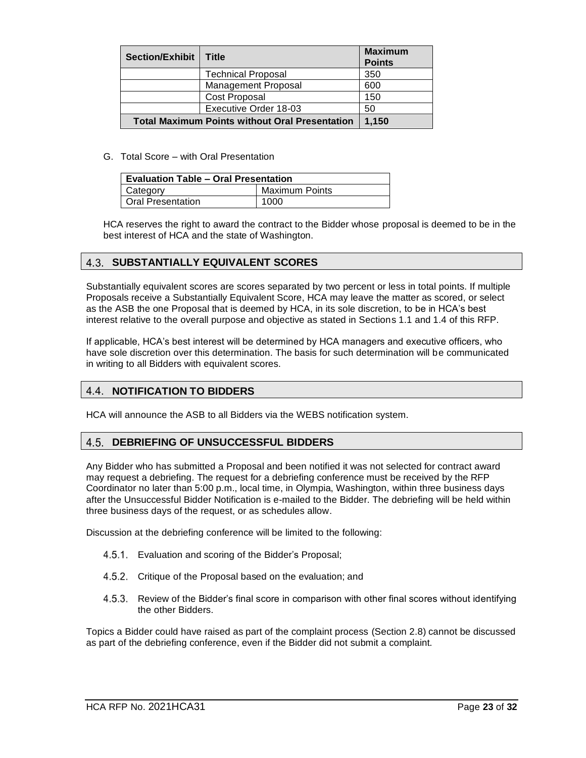| <b>Section/Exhibit</b>                                | Title                       | <b>Maximum</b><br><b>Points</b> |
|-------------------------------------------------------|-----------------------------|---------------------------------|
|                                                       | <b>Technical Proposal</b>   | 350                             |
|                                                       | <b>Management Proposal</b>  | 600                             |
|                                                       | <b>Cost Proposal</b>        | 150                             |
|                                                       | Executive Order 18-03<br>50 |                                 |
| <b>Total Maximum Points without Oral Presentation</b> | 1.150                       |                                 |

G. Total Score – with Oral Presentation

| <b>Evaluation Table – Oral Presentation</b> |      |  |  |
|---------------------------------------------|------|--|--|
| <b>Maximum Points</b><br>Category           |      |  |  |
| <b>Oral Presentation</b>                    | 1000 |  |  |

HCA reserves the right to award the contract to the Bidder whose proposal is deemed to be in the best interest of HCA and the state of Washington.

## <span id="page-22-0"></span>**4.3. SUBSTANTIALLY EQUIVALENT SCORES**

Substantially equivalent scores are scores separated by two percent or less in total points. If multiple Proposals receive a Substantially Equivalent Score, HCA may leave the matter as scored, or select as the ASB the one Proposal that is deemed by HCA, in its sole discretion, to be in HCA's best interest relative to the overall purpose and objective as stated in Section[s 1.1](#page-3-1) an[d 1.4](#page-5-0) of this RFP.

If applicable, HCA's best interest will be determined by HCA managers and executive officers, who have sole discretion over this determination. The basis for such determination will be communicated in writing to all Bidders with equivalent scores.

#### <span id="page-22-1"></span>4.4. **NOTIFICATION TO BIDDERS**

<span id="page-22-2"></span>HCA will announce the ASB to all Bidders via the WEBS notification system.

#### 4.5. **DEBRIEFING OF UNSUCCESSFUL BIDDERS**

Any Bidder who has submitted a Proposal and been notified it was not selected for contract award may request a debriefing. The request for a debriefing conference must be received by the RFP Coordinator no later than 5:00 p.m., local time, in Olympia, Washington, within three business days after the Unsuccessful Bidder Notification is e-mailed to the Bidder. The debriefing will be held within three business days of the request, or as schedules allow.

Discussion at the debriefing conference will be limited to the following:

- 4.5.1. Evaluation and scoring of the Bidder's Proposal;
- 4.5.2. Critique of the Proposal based on the evaluation; and
- 4.5.3. Review of the Bidder's final score in comparison with other final scores without identifying the other Bidders.

Topics a Bidder could have raised as part of the complaint process (Section 2.8) cannot be discussed as part of the debriefing conference, even if the Bidder did not submit a complaint.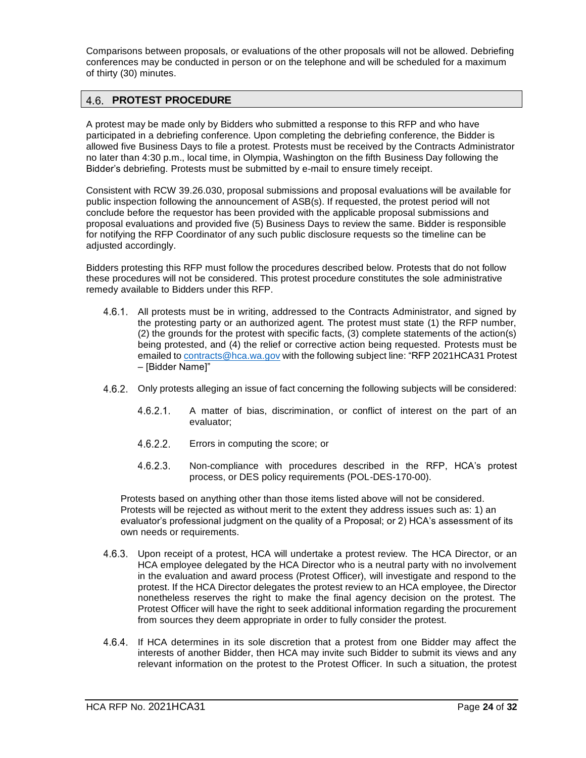Comparisons between proposals, or evaluations of the other proposals will not be allowed. Debriefing conferences may be conducted in person or on the telephone and will be scheduled for a maximum of thirty (30) minutes.

#### <span id="page-23-0"></span>**PROTEST PROCEDURE**  $4.6.$

A protest may be made only by Bidders who submitted a response to this RFP and who have participated in a debriefing conference. Upon completing the debriefing conference, the Bidder is allowed five Business Days to file a protest. Protests must be received by the Contracts Administrator no later than 4:30 p.m., local time, in Olympia, Washington on the fifth Business Day following the Bidder's debriefing. Protests must be submitted by e-mail to ensure timely receipt.

Consistent with RCW 39.26.030, proposal submissions and proposal evaluations will be available for public inspection following the announcement of ASB(s). If requested, the protest period will not conclude before the requestor has been provided with the applicable proposal submissions and proposal evaluations and provided five (5) Business Days to review the same. Bidder is responsible for notifying the RFP Coordinator of any such public disclosure requests so the timeline can be adjusted accordingly.

Bidders protesting this RFP must follow the procedures described below. Protests that do not follow these procedures will not be considered. This protest procedure constitutes the sole administrative remedy available to Bidders under this RFP.

- 4.6.1. All protests must be in writing, addressed to the Contracts Administrator, and signed by the protesting party or an authorized agent. The protest must state (1) the RFP number, (2) the grounds for the protest with specific facts, (3) complete statements of the action(s) being protested, and (4) the relief or corrective action being requested. Protests must be emailed t[o contracts@hca.wa.gov](mailto:contracts@hca.wa.gov) with the following subject line: "RFP 2021HCA31 Protest – [Bidder Name]"
- 4.6.2. Only protests alleging an issue of fact concerning the following subjects will be considered:
	- $4.6.2.1.$ A matter of bias, discrimination, or conflict of interest on the part of an evaluator;
	- $4.6.2.2.$ Errors in computing the score; or
	- $4.6.2.3.$ Non-compliance with procedures described in the RFP, HCA's protest process, or DES policy requirements (POL-DES-170-00).

Protests based on anything other than those items listed above will not be considered. Protests will be rejected as without merit to the extent they address issues such as: 1) an evaluator's professional judgment on the quality of a Proposal; or 2) HCA's assessment of its own needs or requirements.

- 4.6.3. Upon receipt of a protest, HCA will undertake a protest review. The HCA Director, or an HCA employee delegated by the HCA Director who is a neutral party with no involvement in the evaluation and award process (Protest Officer), will investigate and respond to the protest. If the HCA Director delegates the protest review to an HCA employee, the Director nonetheless reserves the right to make the final agency decision on the protest. The Protest Officer will have the right to seek additional information regarding the procurement from sources they deem appropriate in order to fully consider the protest.
- 4.6.4. If HCA determines in its sole discretion that a protest from one Bidder may affect the interests of another Bidder, then HCA may invite such Bidder to submit its views and any relevant information on the protest to the Protest Officer. In such a situation, the protest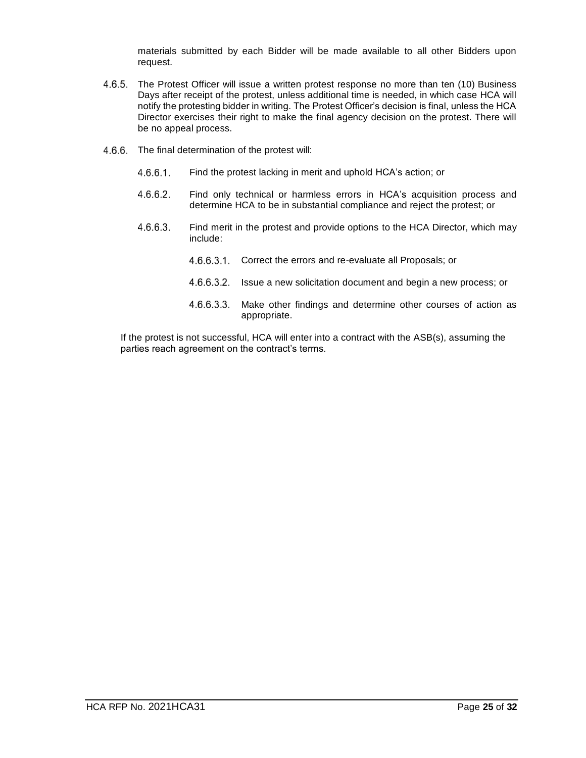materials submitted by each Bidder will be made available to all other Bidders upon request.

- 4.6.5. The Protest Officer will issue a written protest response no more than ten (10) Business Days after receipt of the protest, unless additional time is needed, in which case HCA will notify the protesting bidder in writing. The Protest Officer's decision is final, unless the HCA Director exercises their right to make the final agency decision on the protest. There will be no appeal process.
- 4.6.6. The final determination of the protest will:
	- $4.6.6.1$ Find the protest lacking in merit and uphold HCA's action; or
	- $4.6.6.2.$ Find only technical or harmless errors in HCA's acquisition process and determine HCA to be in substantial compliance and reject the protest; or
	- 4.6.6.3. Find merit in the protest and provide options to the HCA Director, which may include:
		- 4.6.6.3.1. Correct the errors and re-evaluate all Proposals; or
		- 4.6.6.3.2. Issue a new solicitation document and begin a new process; or
		- 4.6.6.3.3. Make other findings and determine other courses of action as appropriate.

If the protest is not successful, HCA will enter into a contract with the ASB(s), assuming the parties reach agreement on the contract's terms.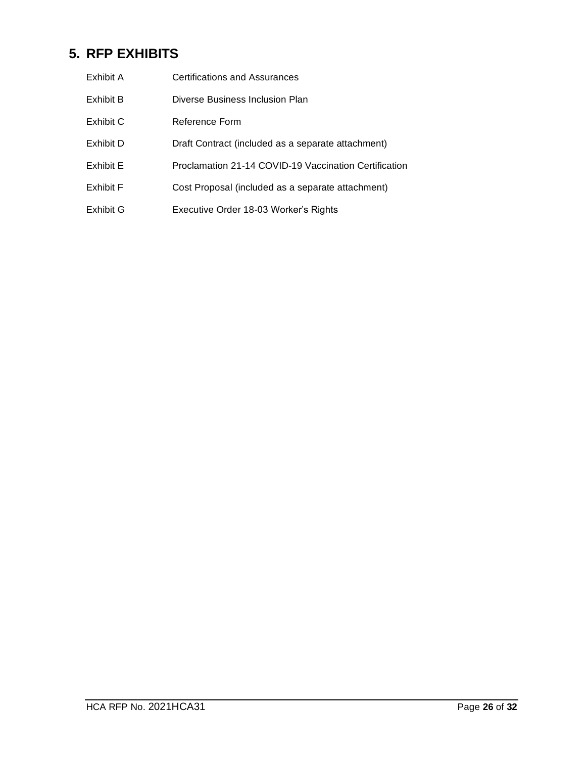# <span id="page-25-0"></span>**5. RFP EXHIBITS**

| Exhibit A | Certifications and Assurances                         |
|-----------|-------------------------------------------------------|
| Exhibit B | Diverse Business Inclusion Plan                       |
| Exhibit C | Reference Form                                        |
| Exhibit D | Draft Contract (included as a separate attachment)    |
| Exhibit E | Proclamation 21-14 COVID-19 Vaccination Certification |
| Exhibit F | Cost Proposal (included as a separate attachment)     |
| Exhibit G | Executive Order 18-03 Worker's Rights                 |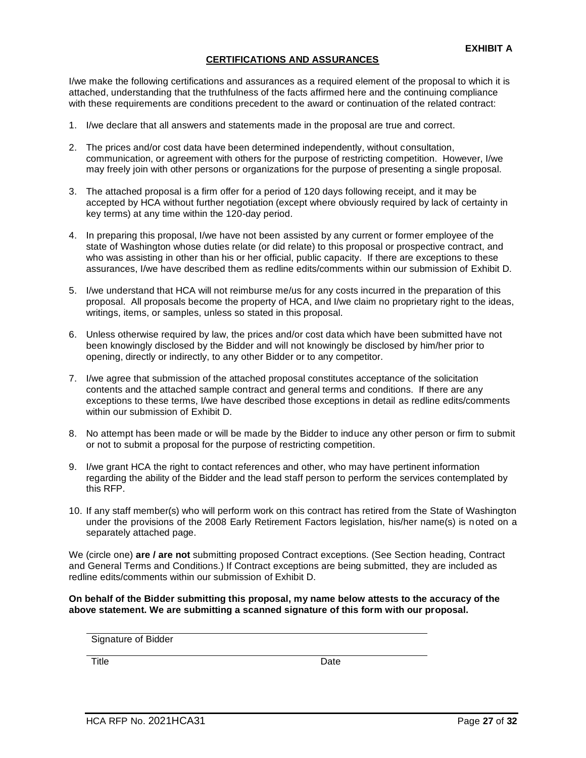#### **CERTIFICATIONS AND ASSURANCES**

I/we make the following certifications and assurances as a required element of the proposal to which it is attached, understanding that the truthfulness of the facts affirmed here and the continuing compliance with these requirements are conditions precedent to the award or continuation of the related contract:

- 1. I/we declare that all answers and statements made in the proposal are true and correct.
- 2. The prices and/or cost data have been determined independently, without consultation, communication, or agreement with others for the purpose of restricting competition. However, I/we may freely join with other persons or organizations for the purpose of presenting a single proposal.
- 3. The attached proposal is a firm offer for a period of 120 days following receipt, and it may be accepted by HCA without further negotiation (except where obviously required by lack of certainty in key terms) at any time within the 120-day period.
- 4. In preparing this proposal, I/we have not been assisted by any current or former employee of the state of Washington whose duties relate (or did relate) to this proposal or prospective contract, and who was assisting in other than his or her official, public capacity. If there are exceptions to these assurances, I/we have described them as redline edits/comments within our submission of Exhibit D.
- 5. I/we understand that HCA will not reimburse me/us for any costs incurred in the preparation of this proposal. All proposals become the property of HCA, and I/we claim no proprietary right to the ideas, writings, items, or samples, unless so stated in this proposal.
- 6. Unless otherwise required by law, the prices and/or cost data which have been submitted have not been knowingly disclosed by the Bidder and will not knowingly be disclosed by him/her prior to opening, directly or indirectly, to any other Bidder or to any competitor.
- 7. I/we agree that submission of the attached proposal constitutes acceptance of the solicitation contents and the attached sample contract and general terms and conditions. If there are any exceptions to these terms, I/we have described those exceptions in detail as redline edits/comments within our submission of Exhibit D.
- 8. No attempt has been made or will be made by the Bidder to induce any other person or firm to submit or not to submit a proposal for the purpose of restricting competition.
- 9. I/we grant HCA the right to contact references and other, who may have pertinent information regarding the ability of the Bidder and the lead staff person to perform the services contemplated by this RFP.
- 10. If any staff member(s) who will perform work on this contract has retired from the State of Washington under the provisions of the 2008 Early Retirement Factors legislation, his/her name(s) is noted on a separately attached page.

We (circle one) **are / are not** submitting proposed Contract exceptions. (See Section heading, Contract and General Terms and Conditions.) If Contract exceptions are being submitted, they are included as redline edits/comments within our submission of Exhibit D.

**On behalf of the Bidder submitting this proposal, my name below attests to the accuracy of the above statement. We are submitting a scanned signature of this form with our proposal.**

Title **Date**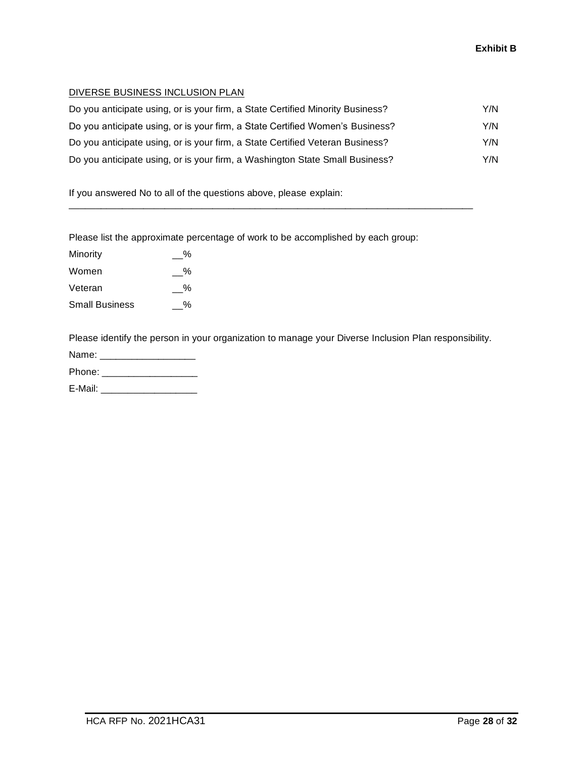#### DIVERSE BUSINESS INCLUSION PLAN

| Do you anticipate using, or is your firm, a State Certified Minority Business? | Y/N |
|--------------------------------------------------------------------------------|-----|
| Do you anticipate using, or is your firm, a State Certified Women's Business?  | Y/N |
| Do you anticipate using, or is your firm, a State Certified Veteran Business?  | Y/N |
| Do you anticipate using, or is your firm, a Washington State Small Business?   | Y/N |

\_\_\_\_\_\_\_\_\_\_\_\_\_\_\_\_\_\_\_\_\_\_\_\_\_\_\_\_\_\_\_\_\_\_\_\_\_\_\_\_\_\_\_\_\_\_\_\_\_\_\_\_\_\_\_\_\_\_\_\_\_\_\_\_\_\_\_\_\_\_\_\_\_\_\_\_

If you answered No to all of the questions above, please explain:

Please list the approximate percentage of work to be accomplished by each group:

| Minority              | $\%$ |
|-----------------------|------|
| Women                 | %    |
| Veteran               | %    |
| <b>Small Business</b> | %    |

Please identify the person in your organization to manage your Diverse Inclusion Plan responsibility.

| Name:  |
|--------|
| Phone: |

E-Mail: \_\_\_\_\_\_\_\_\_\_\_\_\_\_\_\_\_\_\_\_\_\_\_\_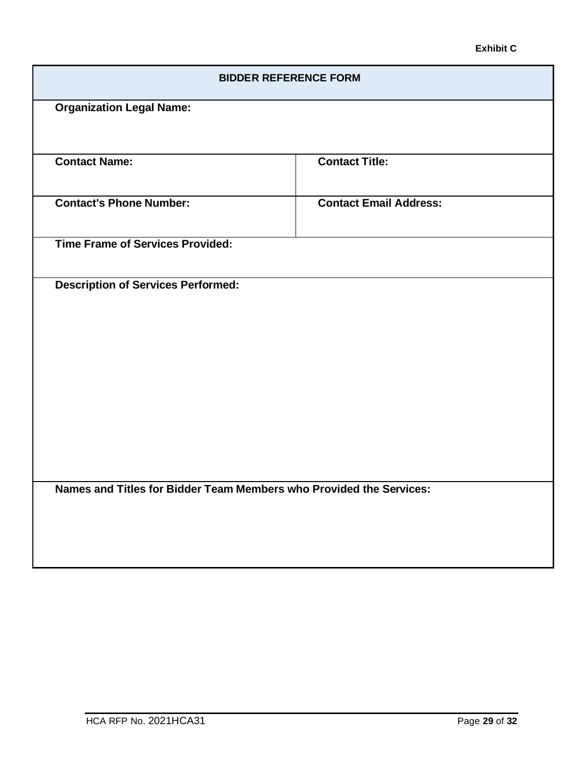## **Exhibit C**

| <b>BIDDER REFERENCE FORM</b>                                        |                               |  |  |  |
|---------------------------------------------------------------------|-------------------------------|--|--|--|
| <b>Organization Legal Name:</b>                                     |                               |  |  |  |
|                                                                     |                               |  |  |  |
| <b>Contact Name:</b>                                                | <b>Contact Title:</b>         |  |  |  |
| <b>Contact's Phone Number:</b>                                      | <b>Contact Email Address:</b> |  |  |  |
| <b>Time Frame of Services Provided:</b>                             |                               |  |  |  |
| <b>Description of Services Performed:</b>                           |                               |  |  |  |
| Names and Titles for Bidder Team Members who Provided the Services: |                               |  |  |  |
|                                                                     |                               |  |  |  |
|                                                                     |                               |  |  |  |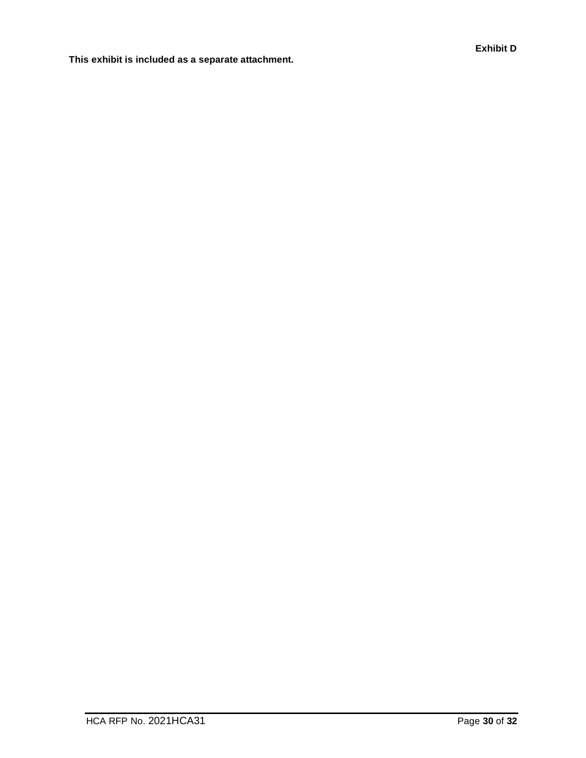**This exhibit is included as a separate attachment.**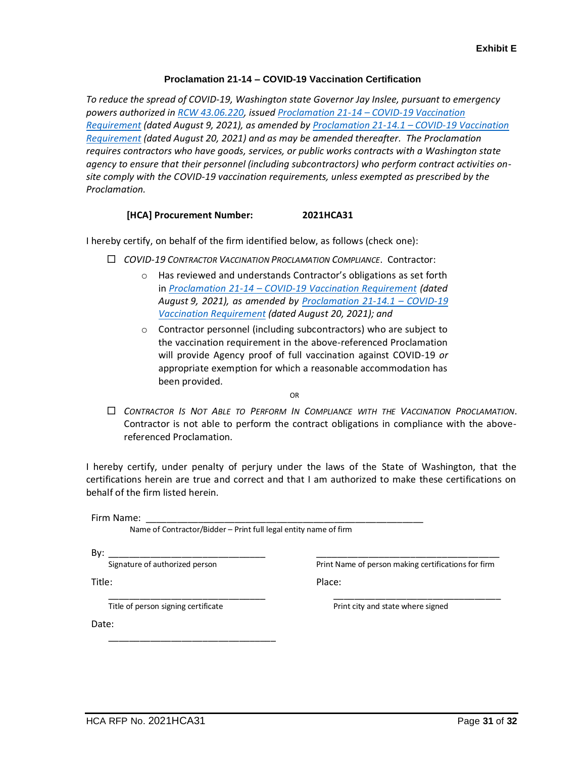#### **Proclamation 21-14 – COVID-19 Vaccination Certification**

*To reduce the spread of COVID-19, Washington state Governor Jay Inslee, pursuant to emergency powers authorized in RCW [43.06.220,](https://app.leg.wa.gov/RCW/default.aspx?cite=43.06.220) issued Proclamation 21-14 – [COVID-19 Vaccination](https://www.governor.wa.gov/sites/default/files/proclamations/21-14%20-%20COVID-19%20Vax%20Washington%20%28tmp%29.pdf)  [Requirement](https://www.governor.wa.gov/sites/default/files/proclamations/21-14%20-%20COVID-19%20Vax%20Washington%20%28tmp%29.pdf) (dated August 9, 2021), as amended by [Proclamation 21-14.1](https://www.governor.wa.gov/sites/default/files/proclamations/21-14.1%20-%20COVID-19%20Vax%20Washington%20Amendment.pdf) – COVID-19 Vaccination [Requirement](https://www.governor.wa.gov/sites/default/files/proclamations/21-14.1%20-%20COVID-19%20Vax%20Washington%20Amendment.pdf) (dated August 20, 2021) and as may be amended thereafter. The Proclamation requires contractors who have goods, services, or public works contracts with a Washington state agency to ensure that their personnel (including subcontractors) who perform contract activities onsite comply with the COVID-19 vaccination requirements, unless exempted as prescribed by the Proclamation.*

#### **[HCA] Procurement Number: 2021HCA31**

I hereby certify, on behalf of the firm identified below, as follows (check one):

- *COVID-19 CONTRACTOR VACCINATION PROCLAMATION COMPLIANCE*. Contractor:
	- o Has reviewed and understands Contractor's obligations as set forth in *Proclamation 21-14 – [COVID-19 Vaccination Requirement](https://www.governor.wa.gov/sites/default/files/proclamations/21-14%20-%20COVID-19%20Vax%20Washington%20%28tmp%29.pdf) (dated August 9, 2021), as amended by [Proclamation 21-14.1](https://www.governor.wa.gov/sites/default/files/proclamations/21-14.1%20-%20COVID-19%20Vax%20Washington%20Amendment.pdf) – COVID-19 [Vaccination Requirement](https://www.governor.wa.gov/sites/default/files/proclamations/21-14.1%20-%20COVID-19%20Vax%20Washington%20Amendment.pdf) (dated August 20, 2021); and*
	- o Contractor personnel (including subcontractors) who are subject to the vaccination requirement in the above-referenced Proclamation will provide Agency proof of full vaccination against COVID-19 *or* appropriate exemption for which a reasonable accommodation has been provided.

OR

 *CONTRACTOR IS NOT ABLE TO PERFORM IN COMPLIANCE WITH THE VACCINATION PROCLAMATION*. Contractor is not able to perform the contract obligations in compliance with the abovereferenced Proclamation.

I hereby certify, under penalty of perjury under the laws of the State of Washington, that the certifications herein are true and correct and that I am authorized to make these certifications on behalf of the firm listed herein.

Firm Name:

Name of Contractor/Bidder – Print full legal entity name of firm

By: \_\_\_\_\_\_\_\_\_\_\_\_\_\_\_\_\_\_\_\_\_\_\_\_\_\_\_\_\_\_

Signature of authorized person

\_\_\_\_\_\_\_\_\_\_\_\_\_\_\_\_\_\_\_\_\_\_\_\_\_\_\_\_\_\_\_\_\_\_\_ Print Name of person making certifications for firm

Place:

Title:

\_\_\_\_\_\_\_\_\_\_\_\_\_\_\_\_\_\_\_\_\_\_\_\_\_\_\_\_\_\_ Title of person signing certificate

\_\_\_\_\_\_\_\_\_\_\_\_\_\_\_\_\_\_\_\_\_\_\_\_\_\_\_\_\_\_\_\_

\_\_\_\_\_\_\_\_\_\_\_\_\_\_\_\_\_\_\_\_\_\_\_\_\_\_\_\_\_\_\_\_ Print city and state where signed

Date: